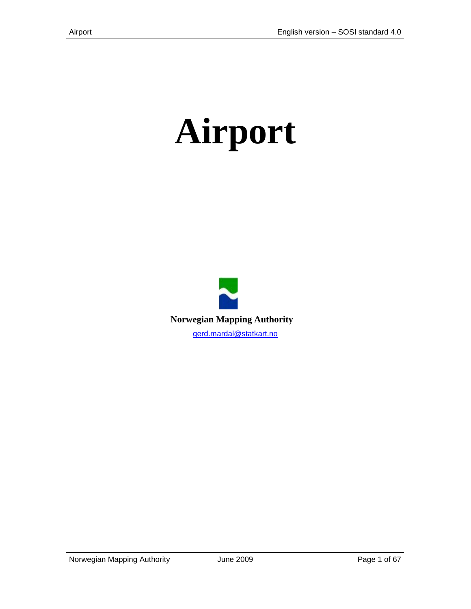# **Airport**

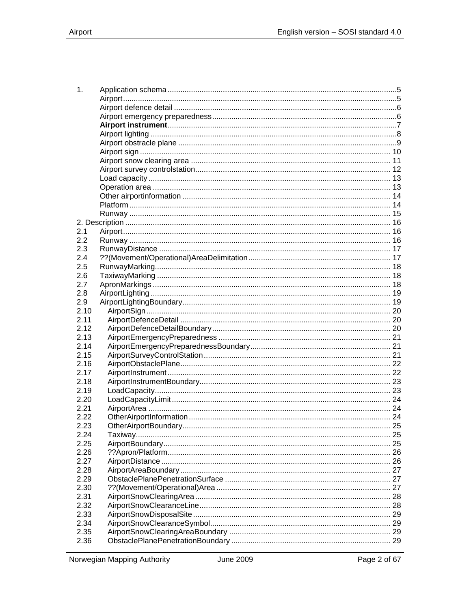| 1.   |    |
|------|----|
|      |    |
|      |    |
|      |    |
|      |    |
|      |    |
|      |    |
|      |    |
|      |    |
|      |    |
|      |    |
|      |    |
|      |    |
|      |    |
|      |    |
|      |    |
| 2.1  |    |
| 2.2  |    |
| 2.3  |    |
| 2.4  |    |
| 2.5  |    |
| 2.6  |    |
| 2.7  |    |
| 2.8  |    |
| 2.9  |    |
| 2.10 |    |
| 2.11 |    |
| 2.12 |    |
| 2.13 |    |
| 2.14 |    |
| 2.15 |    |
| 2.16 |    |
| 2.17 |    |
| 2.18 |    |
| 2.19 |    |
| 2.20 |    |
| 2.21 |    |
| 2.22 |    |
| 2.23 |    |
| 2.24 |    |
| 2.25 |    |
| 2.26 |    |
| 2.27 |    |
| 2.28 |    |
| 2.29 |    |
| 2.30 | 27 |
| 2.31 |    |
| 2.32 |    |
| 2.33 |    |
| 2.34 |    |
| 2.35 |    |
| 2.36 |    |
|      |    |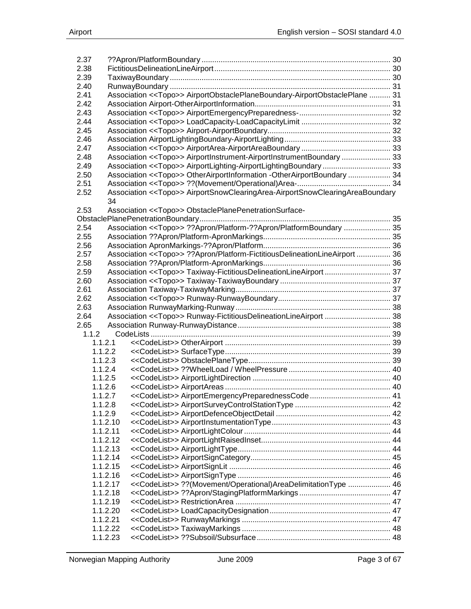| 2.37     |                                                                                         |  |
|----------|-----------------------------------------------------------------------------------------|--|
| 2.38     |                                                                                         |  |
| 2.39     |                                                                                         |  |
| 2.40     |                                                                                         |  |
| 2.41     | Association << Topo>> AirportObstaclePlaneBoundary-AirportObstaclePlane  31             |  |
| 2.42     |                                                                                         |  |
| 2.43     |                                                                                         |  |
| 2.44     |                                                                                         |  |
| 2.45     |                                                                                         |  |
| 2.46     |                                                                                         |  |
| 2.47     |                                                                                         |  |
| 2.48     | Association < <topo>&gt; AirportInstrument-AirportInstrumentBoundary  33</topo>         |  |
| 2.49     | Association < <topo>&gt; AirportLighting-AirportLightingBoundary  33</topo>             |  |
| 2.50     | Association << Topo>> OtherAirportInformation -OtherAirportBoundary  34                 |  |
| 2.51     |                                                                                         |  |
| 2.52     | Association < <topo>&gt; AirportSnowClearingArea-AirportSnowClearingAreaBoundary</topo> |  |
|          | 34                                                                                      |  |
| 2.53     | Association < <topo>&gt; ObstaclePlanePenetrationSurface-</topo>                        |  |
|          |                                                                                         |  |
| 2.54     | Association << Topo>> ??Apron/Platform-??Apron/PlatformBoundary  35                     |  |
| 2.55     |                                                                                         |  |
| 2.56     |                                                                                         |  |
| 2.57     | Association << Topo>> ??Apron/Platform-FictitiousDelineationLineAirport  36             |  |
| 2.58     |                                                                                         |  |
| 2.59     | Association << Topo>> Taxiway-FictitiousDelineationLineAirport  37                      |  |
| 2.60     |                                                                                         |  |
| 2.61     |                                                                                         |  |
| 2.62     |                                                                                         |  |
| 2.63     |                                                                                         |  |
| 2.64     | Association << Topo>> Runway-FictitiousDelineationLineAirport  38                       |  |
| 2.65     |                                                                                         |  |
| 1.1.2    |                                                                                         |  |
| 1.1.2.1  |                                                                                         |  |
| 1.1.2.2  |                                                                                         |  |
| 1.1.2.3  |                                                                                         |  |
| 1.1.2.4  |                                                                                         |  |
| 1.1.2.5  |                                                                                         |  |
| 1.1.2.6  |                                                                                         |  |
| 1.1.2.7  |                                                                                         |  |
| 1.1.2.8  |                                                                                         |  |
| 1.1.2.9  |                                                                                         |  |
| 1.1.2.10 |                                                                                         |  |
| 1.1.2.11 |                                                                                         |  |
| 1.1.2.12 |                                                                                         |  |
| 1.1.2.13 |                                                                                         |  |
| 1.1.2.14 |                                                                                         |  |
| 1.1.2.15 |                                                                                         |  |
| 1.1.2.16 |                                                                                         |  |
| 1.1.2.17 | < <codelist>&gt; ??(Movement/Operational)AreaDelimitationType  46</codelist>            |  |
| 1.1.2.18 |                                                                                         |  |
| 1.1.2.19 |                                                                                         |  |
| 1.1.2.20 |                                                                                         |  |
| 1.1.2.21 |                                                                                         |  |
|          |                                                                                         |  |
| 1.1.2.22 |                                                                                         |  |
| 1.1.2.23 |                                                                                         |  |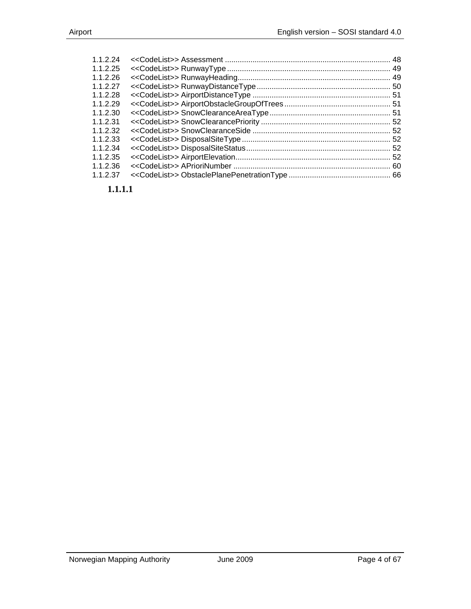| 1.1.2.24 |  |
|----------|--|
| 1.1.2.25 |  |
| 1.1.2.26 |  |
| 1.1.2.27 |  |
| 1.1.2.28 |  |
| 1.1.2.29 |  |
| 1.1.2.30 |  |
| 1.1.2.31 |  |
| 1.1.2.32 |  |
| 1.1.2.33 |  |
| 1.1.2.34 |  |
| 1.1.2.35 |  |
| 1.1.2.36 |  |
| 1.1.2.37 |  |
|          |  |

**1.1.1.1**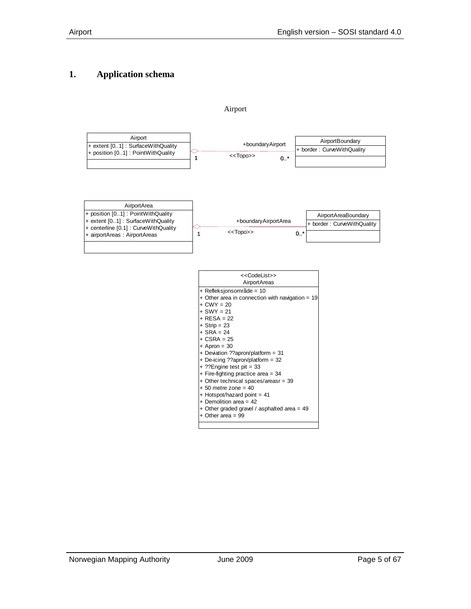## <span id="page-4-0"></span>**1. Application schema**

<span id="page-4-1"></span>

Airport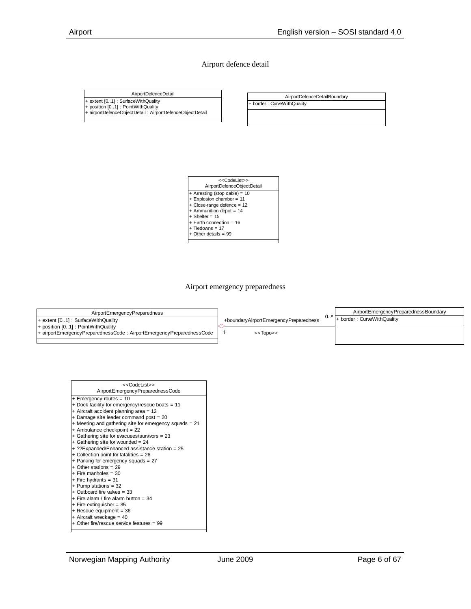#### Airport defence detail

<span id="page-5-0"></span>AirportDefenceDetail + extent [0..1] : SurfaceWithQuality + position [0..1] : PointWithQuality + airportDefenceObjectDetail : AirportDefenceObjectDetail

AirportDefenceDetailBoundary

+ border : CurveWithQuality



Airport emergency preparedness

<span id="page-5-1"></span>

| AirportEmergencyPreparedness                                                                                |                                       |    | AirportEmergencyPreparednessBoundary |
|-------------------------------------------------------------------------------------------------------------|---------------------------------------|----|--------------------------------------|
| $+$ extent $[0.1]$ : Surface With Quality                                                                   | +boundaryAirportEmergencyPreparedness | 0. | + border: CurveWithQuality           |
| + position [01] : PointWithQuality<br> + airportEmergencyPreparednessCode: AirportEmergencyPreparednessCode | $<<$ TODO $>>$                        |    |                                      |
|                                                                                                             |                                       |    |                                      |
|                                                                                                             |                                       |    |                                      |

| < <codelist>&gt;</codelist>                            |
|--------------------------------------------------------|
| AirportEmergencyPreparednessCode                       |
| + Emergency routes = 10                                |
| + Dock facility for emergency/rescue boats = 11        |
| + Aircraft accident planning area = 12                 |
| + Damage site leader command post = 20                 |
| + Meeting and gathering site for emergency squads = 21 |
| + Ambulance checkpoint = 22                            |
| + Gathering site for evacuees/survivors = 23           |
| + Gathering site for wounded = $24$                    |
| + ??Expanded/Enhanced assistance station = 25          |
| + Collection point for fatalities = 26                 |
| + Parking for emergency squads = $27$                  |
| $+$ Other stations = 29                                |
| $+$ Fire manholes = 30                                 |
| $+$ Fire hydrants = 31                                 |
| + Pump stations = $32$                                 |
| + Outboard fire valves = $33$                          |
| $+$ Fire alarm / fire alarm button = 34                |
| $+$ Fire extinguisher = 35                             |
| $+$ Rescue equipment = 36                              |
| + Aircraft wreckage = $40$                             |
| + Other fire/rescue service features = 99              |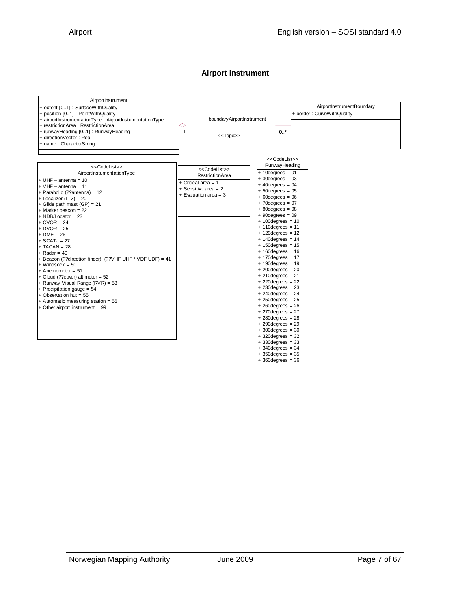#### **Airport instrument**

<span id="page-6-0"></span>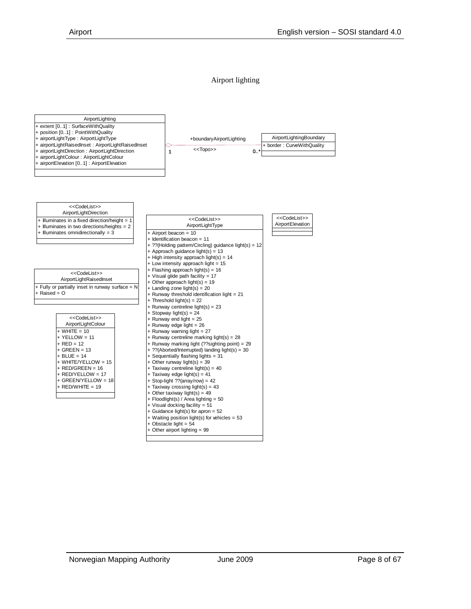#### Airport lighting

<span id="page-7-0"></span>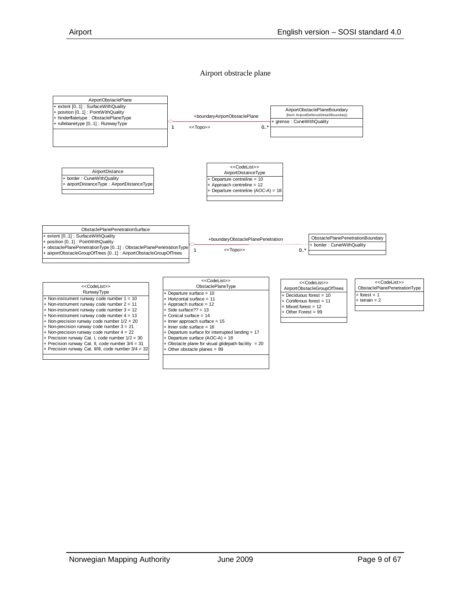#### Airport obstracle plane

<span id="page-8-0"></span>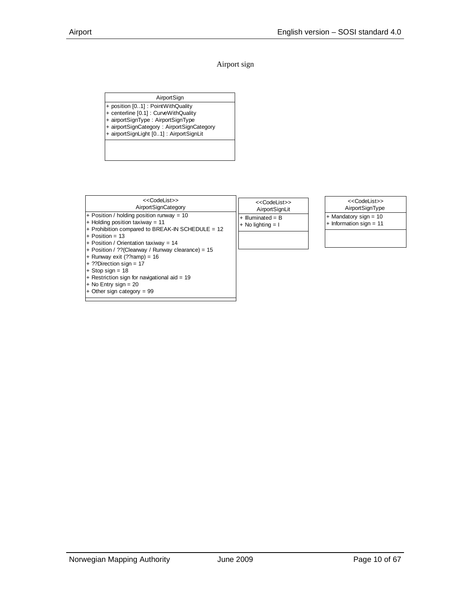#### Airport sign

AirportSign

- <span id="page-9-0"></span>+ position [0..1] : PointWithQuality
- + centerline [0.1] : CurveWithQuality
- + airportSignType : AirportSignType
- + airportSignCategory : AirportSignCategory
- + airportSignLight [0..1] : AirportSignLit



+ Other sign category = 99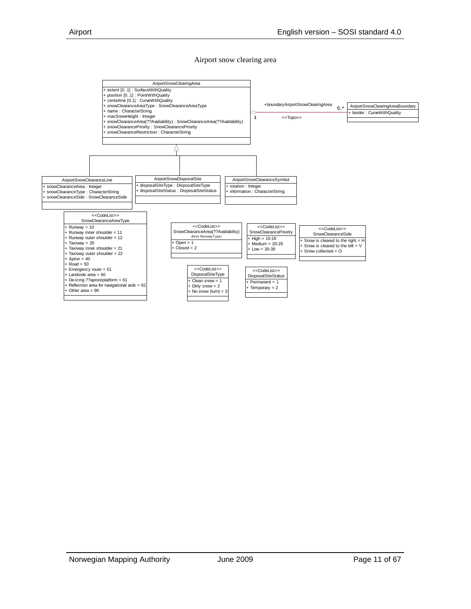#### Airport snow clearing area

<span id="page-10-0"></span>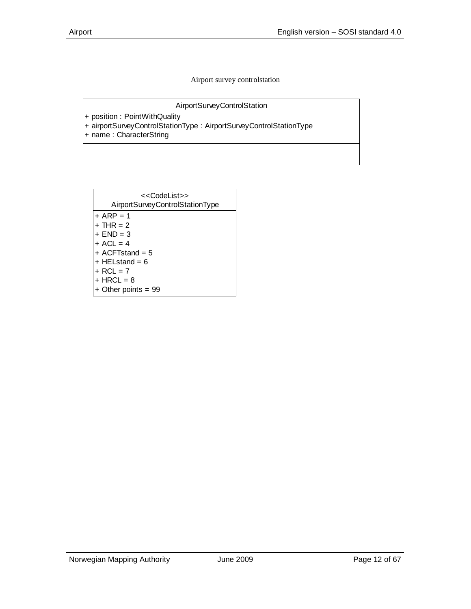Airport survey controlstation

AirportSurveyControlStation

<span id="page-11-0"></span>+ position : PointWithQuality

+ airportSurveyControlStationType : AirportSurveyControlStationType

+ name : CharacterString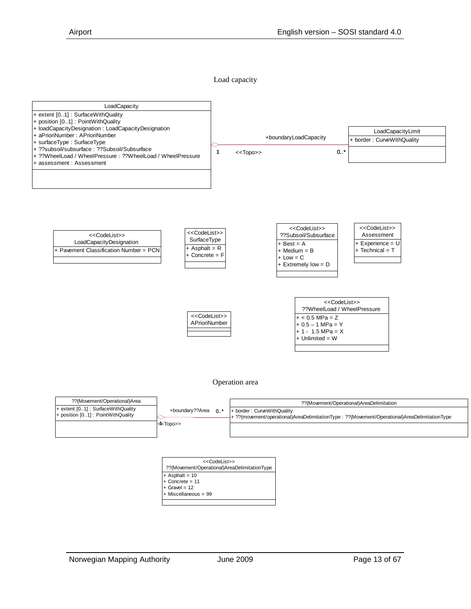

<span id="page-12-0"></span>

#### Operation area

<span id="page-12-1"></span>

| ??(Movement/Operational)Area                                                       |                           | ??(Movement/Operational)AreaDelimitation                                                                                    |  |  |
|------------------------------------------------------------------------------------|---------------------------|-----------------------------------------------------------------------------------------------------------------------------|--|--|
| $+$ extent $[0.1]$ : SurfaceWithQuality<br>$+$ position $[0.1]$ : PointWithQuality | +boundary??Area<br>$0.1*$ | + border: CurveWithQuality<br>+ ??(movement/operational)AreaDelimitationType : ??(Movement/Operational)AreaDelimitationType |  |  |
|                                                                                    | l⊲kTopo>>                 |                                                                                                                             |  |  |

| < <codelist>&gt;</codelist>                  |  |  |  |  |  |
|----------------------------------------------|--|--|--|--|--|
| ??(Movement/Operational)AreaDelimitationType |  |  |  |  |  |
| + Asphalt = 10                               |  |  |  |  |  |
| $+$ Concrete = 11                            |  |  |  |  |  |
| $+$ Gravel = 12                              |  |  |  |  |  |
| + Miscellaneous = 99                         |  |  |  |  |  |
|                                              |  |  |  |  |  |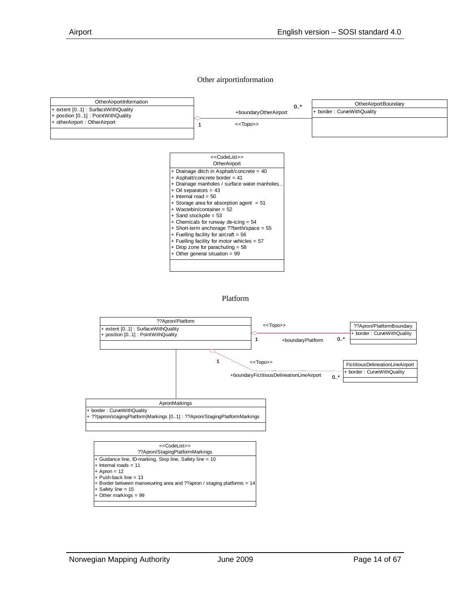#### Other airportinformation

<span id="page-13-0"></span>

Platform

<span id="page-13-1"></span>

+ Safety line = 15 Other markings =  $99$ 

+ Border between manoeuvring area and ??apron / staging platforms = 14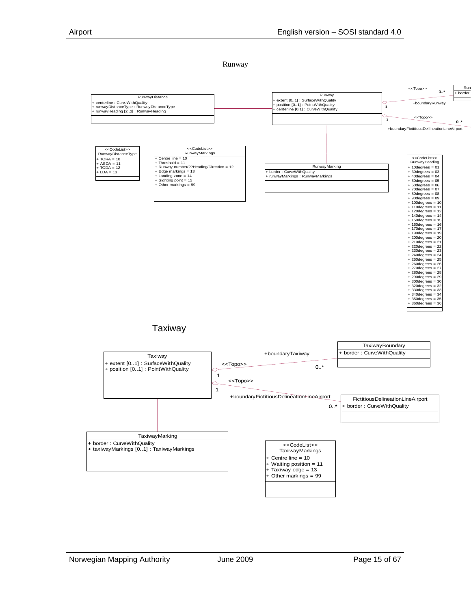Runway

<span id="page-14-0"></span>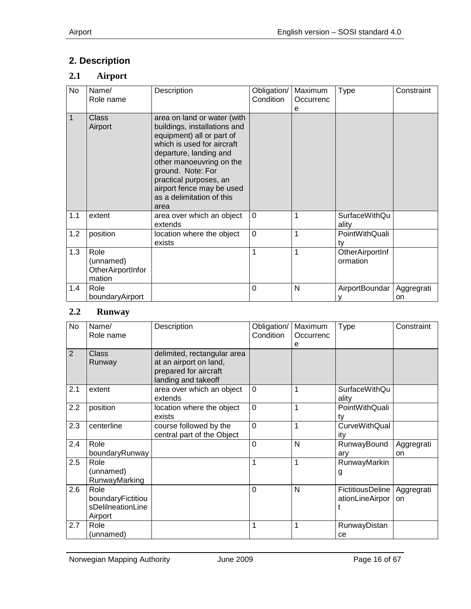# <span id="page-15-0"></span>**2. Description**

## <span id="page-15-1"></span>**2.1 Airport**

| No  | Name/<br>Role name                               | Description                                                                                                                                                                                                                                                                                   | Obligation/<br>Condition | Maximum<br>Occurrenc<br>e | Type                          | Constraint |
|-----|--------------------------------------------------|-----------------------------------------------------------------------------------------------------------------------------------------------------------------------------------------------------------------------------------------------------------------------------------------------|--------------------------|---------------------------|-------------------------------|------------|
| 1   | <b>Class</b><br>Airport                          | area on land or water (with<br>buildings, installations and<br>equipment) all or part of<br>which is used for aircraft<br>departure, landing and<br>other manoeuvring on the<br>ground. Note: For<br>practical purposes, an<br>airport fence may be used<br>as a delimitation of this<br>area |                          |                           |                               |            |
| 1.1 | extent                                           | area over which an object<br>extends                                                                                                                                                                                                                                                          | $\overline{0}$           | 1                         | <b>SurfaceWithQu</b><br>ality |            |
| 1.2 | position                                         | location where the object<br>exists                                                                                                                                                                                                                                                           | $\overline{0}$           | 1                         | PointWithQuali<br>tv          |            |
| 1.3 | Role<br>(unnamed)<br>OtherAirportInfor<br>mation |                                                                                                                                                                                                                                                                                               | 1                        | 1                         | OtherAirportInf<br>ormation   |            |
| 1.4 | Role<br>boundaryAirport                          |                                                                                                                                                                                                                                                                                               | $\Omega$                 | N                         | AirportBoundar   Aggregrati   | on         |

#### <span id="page-15-2"></span>**2.2 Runway**

| No             | Name/<br>Role name                                        | Description                                                                                           | Obligation/<br>Condition | Maximum<br>Occurrenc<br>е | Type                                | Constraint       |
|----------------|-----------------------------------------------------------|-------------------------------------------------------------------------------------------------------|--------------------------|---------------------------|-------------------------------------|------------------|
| $\overline{2}$ | Class<br>Runway                                           | delimited, rectangular area<br>at an airport on land,<br>prepared for aircraft<br>landing and takeoff |                          |                           |                                     |                  |
| 2.1            | extent                                                    | area over which an object<br>extends                                                                  | $\mathbf 0$              | 1                         | <b>SurfaceWithQu</b><br>ality       |                  |
| 2.2            | position                                                  | location where the object<br>exists                                                                   | $\mathbf 0$              | 1                         | PointWithQuali<br>tv                |                  |
| 2.3            | centerline                                                | course followed by the<br>central part of the Object                                                  | $\mathbf 0$              | 1                         | <b>CurveWithQual</b><br>itv         |                  |
| 2.4            | Role<br>boundaryRunway                                    |                                                                                                       | $\Omega$                 | N                         | RunwayBound<br>ary                  | Aggregrati<br>on |
| 2.5            | Role<br>(unnamed)<br>RunwayMarking                        |                                                                                                       | 1                        | 1                         | RunwayMarkin<br>g                   |                  |
| 2.6            | Role<br>boundaryFictitiou<br>sDelilneationLine<br>Airport |                                                                                                       | $\Omega$                 | N                         | FictitiousDeline<br>ationLineAirpor | Aggregrati<br>on |
| 2.7            | Role<br>(unnamed)                                         |                                                                                                       | 1                        | 1                         | RunwayDistan<br>ce                  |                  |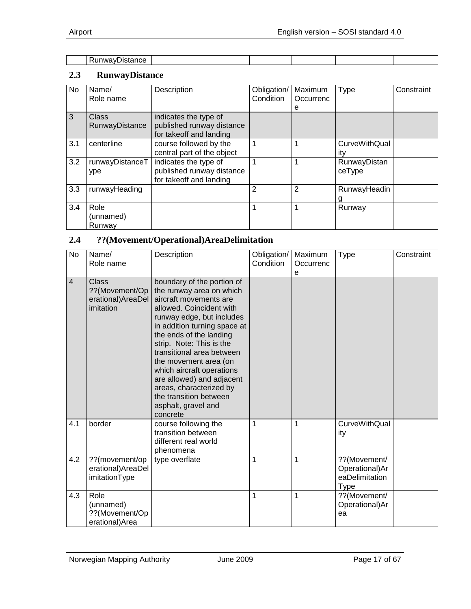| <b>Contractor</b><br>״י<br>Runwav∟.<br>нс<br>usianut<br>. |  |  |  |
|-----------------------------------------------------------|--|--|--|

#### <span id="page-16-0"></span>**2.3 RunwayDistance**

| No. | Name/<br>Role name          | Description                                                                   | Obligation/<br>Condition | Maximum<br>Occurrenc<br>е | <b>Type</b>                 | Constraint |
|-----|-----------------------------|-------------------------------------------------------------------------------|--------------------------|---------------------------|-----------------------------|------------|
| 3   | Class<br>RunwayDistance     | indicates the type of<br>published runway distance<br>for takeoff and landing |                          |                           |                             |            |
| 3.1 | centerline                  | course followed by the<br>central part of the object                          | 1                        | 1                         | <b>CurveWithQual</b><br>itv |            |
| 3.2 | runwayDistanceT<br>ype      | indicates the type of<br>published runway distance<br>for takeoff and landing | 1                        | 1                         | RunwayDistan<br>ceType      |            |
| 3.3 | runwayHeading               |                                                                               | $\overline{2}$           | 2                         | RunwayHeadin<br>g           |            |
| 3.4 | Role<br>(unnamed)<br>Runway |                                                                               | 1                        | 1                         | Runway                      |            |

## <span id="page-16-1"></span>**2.4 ??(Movement/Operational)AreaDelimitation**

| <b>No</b>               | Name/<br>Role name                                         | Description                                                                                                                                                                                                                                                                                                                                                                                                                              | Obligation/<br>Condition | Maximum<br>Occurrenc<br>e | <b>Type</b>                                                     | Constraint |
|-------------------------|------------------------------------------------------------|------------------------------------------------------------------------------------------------------------------------------------------------------------------------------------------------------------------------------------------------------------------------------------------------------------------------------------------------------------------------------------------------------------------------------------------|--------------------------|---------------------------|-----------------------------------------------------------------|------------|
| $\overline{\mathbf{4}}$ | Class<br>??(Movement/Op<br>erational) AreaDel<br>imitation | boundary of the portion of<br>the runway area on which<br>aircraft movements are<br>allowed. Coincident with<br>runway edge, but includes<br>in addition turning space at<br>the ends of the landing<br>strip. Note: This is the<br>transitional area between<br>the movement area (on<br>which aircraft operations<br>are allowed) and adjacent<br>areas, characterized by<br>the transition between<br>asphalt, gravel and<br>concrete |                          |                           |                                                                 |            |
| 4.1                     | border                                                     | course following the<br>transition between<br>different real world<br>phenomena                                                                                                                                                                                                                                                                                                                                                          | $\mathbf{1}$             | 1                         | <b>CurveWithQual</b><br>ity                                     |            |
| 4.2                     | ??(movement/op<br>erational) AreaDel<br>imitationType      | type overflate                                                                                                                                                                                                                                                                                                                                                                                                                           | $\mathbf{1}$             | 1                         | ??(Movement/<br>Operational)Ar<br>eaDelimitation<br><b>Type</b> |            |
| 4.3                     | Role<br>(unnamed)<br>??(Movement/Op<br>erational)Area      |                                                                                                                                                                                                                                                                                                                                                                                                                                          | 1                        | 1                         | ??(Movement/<br>Operational)Ar<br>ea                            |            |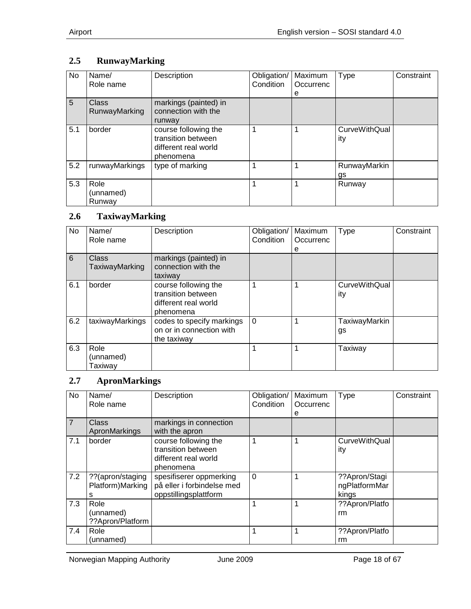# <span id="page-17-0"></span>**2.5 RunwayMarking**

| No  | Name/<br>Role name            | Description                                                                     | Obligation/<br>Condition | Maximum<br>Occurrenc<br>е | <b>Type</b>                 | Constraint |
|-----|-------------------------------|---------------------------------------------------------------------------------|--------------------------|---------------------------|-----------------------------|------------|
| 5   | Class<br><b>RunwayMarking</b> | markings (painted) in<br>connection with the<br>runway                          |                          |                           |                             |            |
| 5.1 | border                        | course following the<br>transition between<br>different real world<br>phenomena |                          |                           | <b>CurveWithQual</b><br>ity |            |
| 5.2 | runwayMarkings                | type of marking                                                                 |                          |                           | RunwayMarkin<br>gs          |            |
| 5.3 | Role<br>(unnamed)<br>Runway   |                                                                                 |                          |                           | Runway                      |            |

## <span id="page-17-1"></span>**2.6 TaxiwayMarking**

| <b>No</b>       | Name/<br>Role name           | Description                                                                     | Obligation/<br>Condition | Maximum<br>Occurrenc<br>е | <b>Type</b>          | Constraint |
|-----------------|------------------------------|---------------------------------------------------------------------------------|--------------------------|---------------------------|----------------------|------------|
| $6\phantom{1}6$ | Class<br>TaxiwayMarking      | markings (painted) in<br>connection with the<br>taxiway                         |                          |                           |                      |            |
| 6.1             | border                       | course following the<br>transition between<br>different real world<br>phenomena |                          |                           | CurveWithQual<br>ity |            |
| 6.2             | taxiwayMarkings              | codes to specify markings<br>on or in connection with<br>the taxiway            | $\Omega$                 |                           | TaxiwayMarkin<br>gs  |            |
| 6.3             | Role<br>(unnamed)<br>Taxiway |                                                                                 |                          |                           | Taxiway              |            |

#### <span id="page-17-2"></span>**2.7 ApronMarkings**

| No             | Name/<br>Role name | Description                | Obligation/<br>Condition | Maximum<br>Occurrenc | Type                 | Constraint |
|----------------|--------------------|----------------------------|--------------------------|----------------------|----------------------|------------|
|                |                    |                            |                          | е                    |                      |            |
| $\overline{7}$ | Class              | markings in connection     |                          |                      |                      |            |
|                | ApronMarkings      | with the apron             |                          |                      |                      |            |
| 7.1            | border             | course following the       |                          |                      | <b>CurveWithQual</b> |            |
|                |                    | transition between         |                          |                      | ity                  |            |
|                |                    | different real world       |                          |                      |                      |            |
|                |                    | phenomena                  |                          |                      |                      |            |
| 7.2            | ??(apron/staging   | spesifiserer oppmerking    | $\overline{0}$           |                      | ??Apron/Stagi        |            |
|                | Platform)Marking   | på eller i forbindelse med |                          |                      | ngPlatformMar        |            |
|                | s                  | oppstillingsplattform      |                          |                      | kings                |            |
| 7.3            | Role               |                            |                          |                      | ??Apron/Platfo       |            |
|                | (unnamed)          |                            |                          |                      | rm                   |            |
|                | ??Apron/Platform   |                            |                          |                      |                      |            |
| 7.4            | Role               |                            |                          |                      | ??Apron/Platfo       |            |
|                | (unnamed)          |                            |                          |                      | rm                   |            |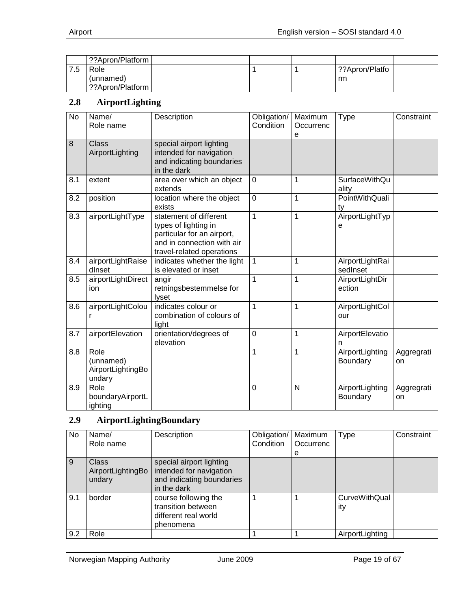| ??Apron/Platform |  |                |  |
|------------------|--|----------------|--|
| Role             |  | ??Apron/Platfo |  |
| (unnamed)        |  | rm             |  |
| ??Apron/Platform |  |                |  |

#### <span id="page-18-0"></span>**2.8 AirportLighting**

| <b>No</b> | Name/<br>Role name                               | Description                                                                                                                             | Obligation/<br>Condition | Maximum<br>Occurrenc<br>е | <b>Type</b>                   | Constraint       |
|-----------|--------------------------------------------------|-----------------------------------------------------------------------------------------------------------------------------------------|--------------------------|---------------------------|-------------------------------|------------------|
| 8         | <b>Class</b><br>AirportLighting                  | special airport lighting<br>intended for navigation<br>and indicating boundaries<br>in the dark                                         |                          |                           |                               |                  |
| 8.1       | extent                                           | area over which an object<br>extends                                                                                                    | 0                        | 1                         | <b>SurfaceWithQu</b><br>ality |                  |
| 8.2       | position                                         | location where the object<br>exists                                                                                                     | $\overline{0}$           | 1                         | PointWithQuali<br>ty          |                  |
| 8.3       | airportLightType                                 | statement of different<br>types of lighting in<br>particular for an airport,<br>and in connection with air<br>travel-related operations | 1                        | 1                         | AirportLightTyp<br>е          |                  |
| 8.4       | airportLightRaise<br>dinset                      | indicates whether the light<br>is elevated or inset                                                                                     | 1                        | 1                         | AirportLightRai<br>sedInset   |                  |
| 8.5       | airportLightDirect<br>ion                        | angir<br>retningsbestemmelse for<br><b>lyset</b>                                                                                        | 1                        | 1                         | AirportLightDir<br>ection     |                  |
| 8.6       | airportLightColou<br>r                           | indicates colour or<br>combination of colours of<br>light                                                                               | 1                        | 1                         | AirportLightCol<br>our        |                  |
| 8.7       | airportElevation                                 | orientation/degrees of<br>elevation                                                                                                     | $\overline{0}$           | 1                         | AirportElevatio<br>n          |                  |
| 8.8       | Role<br>(unnamed)<br>AirportLightingBo<br>undary |                                                                                                                                         | 1                        | 1                         | AirportLighting<br>Boundary   | Aggregrati<br>on |
| 8.9       | Role<br>boundaryAirportL<br>ighting              |                                                                                                                                         | 0                        | N                         | AirportLighting<br>Boundary   | Aggregrati<br>on |

# <span id="page-18-1"></span>**2.9 AirportLightingBoundary**

| No  | Name/                                       | Description                                                                                     | Obligation/ | Maximum   | <b>Type</b>                 | Constraint |
|-----|---------------------------------------------|-------------------------------------------------------------------------------------------------|-------------|-----------|-----------------------------|------------|
|     | Role name                                   |                                                                                                 | Condition   | Occurrenc |                             |            |
|     |                                             |                                                                                                 |             | е         |                             |            |
| 9   | <b>Class</b><br>AirportLightingBo<br>undary | special airport lighting<br>intended for navigation<br>and indicating boundaries<br>in the dark |             |           |                             |            |
| 9.1 | border                                      | course following the<br>transition between<br>different real world<br>phenomena                 |             |           | <b>CurveWithQual</b><br>ity |            |
| 9.2 | Role                                        |                                                                                                 |             |           | AirportLighting             |            |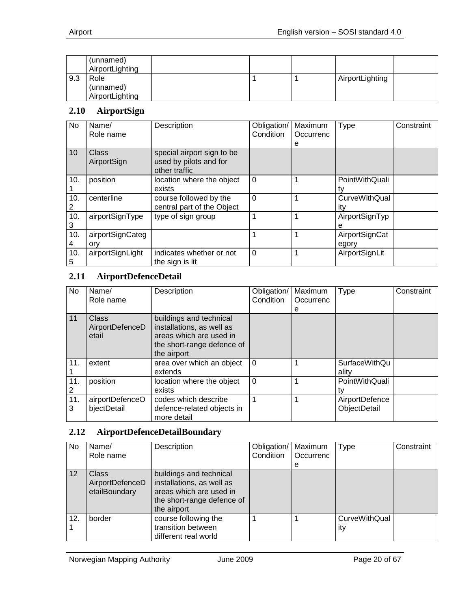|     | (unnamed)<br>AirportLighting |  |                 |  |
|-----|------------------------------|--|-----------------|--|
| 9.3 | Role                         |  | AirportLighting |  |
|     | (unnamed)                    |  |                 |  |
|     | AirportLighting              |  |                 |  |

#### <span id="page-19-0"></span>**2.10 AirportSign**

| No       | Name/<br>Role name      | Description                                                           | Obligation/<br>Condition | Maximum<br>Occurrenc<br>е | Type                        | Constraint |
|----------|-------------------------|-----------------------------------------------------------------------|--------------------------|---------------------------|-----------------------------|------------|
| 10       | Class<br>AirportSign    | special airport sign to be<br>used by pilots and for<br>other traffic |                          |                           |                             |            |
| 10.      | position                | location where the object<br>exists                                   | $\Omega$                 |                           | PointWithQuali              |            |
| 10.<br>2 | centerline              | course followed by the<br>central part of the Object                  | $\overline{0}$           |                           | <b>CurveWithQual</b><br>itv |            |
| 10.<br>3 | airportSignType         | type of sign group                                                    | 1                        | 1                         | AirportSignTyp<br>е         |            |
| 10.<br>4 | airportSignCateg<br>ory |                                                                       | 1                        | 1                         | AirportSignCat<br>egory     |            |
| 10.<br>5 | airportSignLight        | indicates whether or not<br>the sign is lit                           | $\Omega$                 | 1                         | AirportSignLit              |            |

## <span id="page-19-1"></span>**2.11 AirportDefenceDetail**

| No       | Name/<br>Role name                | Description                                                                                                                  | Obligation/<br>Condition | Maximum<br>Occurrenc<br>е | <b>Type</b>                    | Constraint |
|----------|-----------------------------------|------------------------------------------------------------------------------------------------------------------------------|--------------------------|---------------------------|--------------------------------|------------|
| 11       | Class<br>AirportDefenceD<br>etail | buildings and technical<br>installations, as well as<br>areas which are used in<br>the short-range defence of<br>the airport |                          |                           |                                |            |
| 11.      | extent                            | area over which an object<br>extends                                                                                         | $\Omega$                 |                           | <b>SurfaceWithQu</b><br>ality  |            |
| 11.<br>2 | position                          | location where the object<br>exists                                                                                          | $\Omega$                 |                           | PointWithQuali                 |            |
| 11.<br>3 | airportDefenceO<br>bjectDetail    | codes which describe<br>defence-related objects in<br>more detail                                                            |                          |                           | AirportDefence<br>ObjectDetail |            |

#### <span id="page-19-2"></span>**2.12 AirportDefenceDetailBoundary**

| No. | Name/<br>Role name                               | Description                                                                                                                  | Obligation/   Maximum<br>Condition | Occurrenc<br>e | Type                        | Constraint |
|-----|--------------------------------------------------|------------------------------------------------------------------------------------------------------------------------------|------------------------------------|----------------|-----------------------------|------------|
| 12  | <b>Class</b><br>AirportDefenceD<br>etailBoundary | buildings and technical<br>installations, as well as<br>areas which are used in<br>the short-range defence of<br>the airport |                                    |                |                             |            |
| 12. | border                                           | course following the<br>transition between<br>different real world                                                           |                                    |                | <b>CurveWithQual</b><br>ity |            |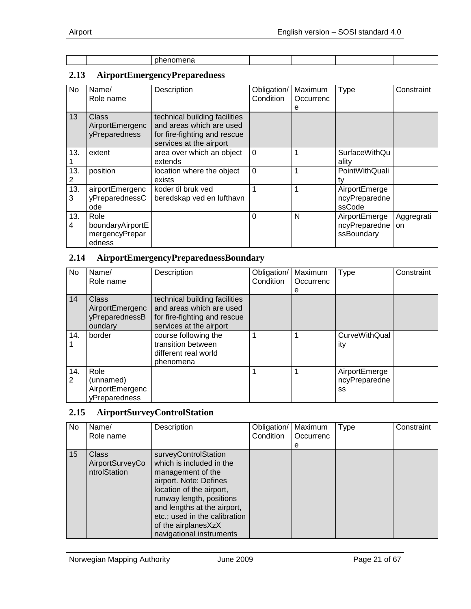|  | .<br>________ |  |  |
|--|---------------|--|--|

## <span id="page-20-0"></span>**2.13 AirportEmergencyPreparedness**

| No       | Name/<br>Role name                                   | Description                                                                                                          | Obligation/<br>Condition | Maximum<br>Occurrenc<br>е | <b>Type</b>                                  | Constraint       |
|----------|------------------------------------------------------|----------------------------------------------------------------------------------------------------------------------|--------------------------|---------------------------|----------------------------------------------|------------------|
| 13       | <b>Class</b><br>AirportEmergenc<br>yPreparedness     | technical building facilities<br>and areas which are used<br>for fire-fighting and rescue<br>services at the airport |                          |                           |                                              |                  |
| 13.      | extent                                               | area over which an object<br>extends                                                                                 | $\Omega$                 |                           | <b>SurfaceWithQu</b><br>ality                |                  |
| 13.<br>2 | position                                             | location where the object<br>exists                                                                                  | $\Omega$                 |                           | PointWithQuali<br>ty                         |                  |
| 13.<br>3 | airportEmergenc<br>yPreparednessC<br>ode             | koder til bruk ved<br>beredskap ved en lufthavn                                                                      |                          |                           | AirportEmerge<br>ncyPreparedne<br>ssCode     |                  |
| 13.<br>4 | Role<br>boundaryAirportE<br>mergencyPrepar<br>edness |                                                                                                                      | 0                        | N                         | AirportEmerge<br>ncyPreparedne<br>ssBoundary | Aggregrati<br>on |

## <span id="page-20-1"></span>**2.14 AirportEmergencyPreparednessBoundary**

| No       | Name/<br>Role name                                    | Description                                                                                                          | Obligation/<br>Condition | Maximum<br>Occurrenc<br>е | Type                                 | Constraint |
|----------|-------------------------------------------------------|----------------------------------------------------------------------------------------------------------------------|--------------------------|---------------------------|--------------------------------------|------------|
| 14       | Class<br>AirportEmergenc<br>yPreparednessB<br>oundary | technical building facilities<br>and areas which are used<br>for fire-fighting and rescue<br>services at the airport |                          |                           |                                      |            |
| 14.      | border                                                | course following the<br>transition between<br>different real world<br>phenomena                                      |                          |                           | <b>CurveWithQual</b><br>ity          |            |
| 14.<br>2 | Role<br>(unnamed)<br>AirportEmergenc<br>yPreparedness |                                                                                                                      |                          |                           | AirportEmerge<br>ncyPreparedne<br>SS |            |

#### <span id="page-20-2"></span>**2.15 AirportSurveyControlStation**

| No. | Name/                                           | Description                                                                                                                                                                                                                                                                | Obligation/ | Maximum   | Type | Constraint |
|-----|-------------------------------------------------|----------------------------------------------------------------------------------------------------------------------------------------------------------------------------------------------------------------------------------------------------------------------------|-------------|-----------|------|------------|
|     | Role name                                       |                                                                                                                                                                                                                                                                            | Condition   | Occurrenc |      |            |
|     |                                                 |                                                                                                                                                                                                                                                                            |             | е         |      |            |
| 15  | <b>Class</b><br>AirportSurveyCo<br>ntrolStation | surveyControlStation<br>which is included in the<br>management of the<br>airport. Note: Defines<br>location of the airport,<br>runway length, positions<br>and lengths at the airport,<br>etc.; used in the calibration<br>of the airplanesXzX<br>navigational instruments |             |           |      |            |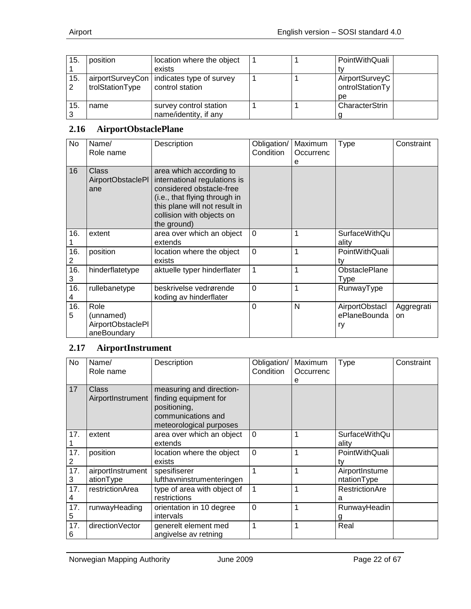| 15.       | position        | location where the object                   |  | PointWithQuali  |
|-----------|-----------------|---------------------------------------------|--|-----------------|
|           |                 | exists                                      |  |                 |
| 15.       |                 | airportSurveyCon   indicates type of survey |  | AirportSurveyC  |
| $\cdot$ 2 | trolStationType | control station                             |  | ontrolStationTy |
|           |                 |                                             |  | рe              |
| 15.       | name            | survey control station                      |  | CharacterStrin  |
|           |                 | name/identity, if any                       |  |                 |

#### <span id="page-21-0"></span>**2.16 AirportObstaclePlane**

| No       | Name/<br>Role name                                    | Description                                                                                                                                                                                       | Obligation/<br>Condition | Maximum<br>Occurrenc<br>e | <b>Type</b>                          | Constraint       |
|----------|-------------------------------------------------------|---------------------------------------------------------------------------------------------------------------------------------------------------------------------------------------------------|--------------------------|---------------------------|--------------------------------------|------------------|
| 16       | Class<br>AirportObstaclePl<br>ane                     | area which according to<br>international regulations is<br>considered obstacle-free<br>(i.e., that flying through in<br>this plane will not result in<br>collision with objects on<br>the ground) |                          |                           |                                      |                  |
| 16.      | extent                                                | area over which an object<br>extends                                                                                                                                                              | $\mathbf 0$              | 1                         | <b>SurfaceWithQu</b><br>ality        |                  |
| 16.<br>2 | position                                              | location where the object<br>exists                                                                                                                                                               | $\overline{0}$           | 1                         | PointWithQuali<br>ty                 |                  |
| 16.<br>3 | hinderflatetype                                       | aktuelle typer hinderflater                                                                                                                                                                       | $\mathbf{1}$             | $\mathbf 1$               | <b>ObstaclePlane</b><br>Type         |                  |
| 16.<br>4 | rullebanetype                                         | beskrivelse vedrørende<br>koding av hinderflater                                                                                                                                                  | $\Omega$                 | 1                         | RunwayType                           |                  |
| 16.<br>5 | Role<br>(unnamed)<br>AirportObstaclePl<br>aneBoundary |                                                                                                                                                                                                   | $\overline{0}$           | N                         | AirportObstacl<br>ePlaneBounda<br>ry | Aggregrati<br>on |

#### <span id="page-21-1"></span>**2.17 AirportInstrument**

| No       | Name/<br>Role name             | Description                                                                                                        | Obligation/<br>Condition | Maximum<br>Occurrenc | <b>Type</b>                   | Constraint |
|----------|--------------------------------|--------------------------------------------------------------------------------------------------------------------|--------------------------|----------------------|-------------------------------|------------|
| 17       | Class<br>AirportInstrument     | measuring and direction-<br>finding equipment for<br>positioning,<br>communications and<br>meteorological purposes |                          | е                    |                               |            |
| 17.      | extent                         | area over which an object<br>extends                                                                               | $\Omega$                 | 1                    | <b>SurfaceWithQu</b><br>ality |            |
| 17.      | position                       | location where the object<br>exists                                                                                | $\mathbf 0$              | 1                    | PointWithQuali<br>tv          |            |
| 17.<br>3 | airportInstrument<br>ationType | spesifiserer<br>lufthavninstrumenteringen                                                                          | 1                        | 1                    | AirportInstume<br>ntationType |            |
| 17.<br>4 | restrictionArea                | type of area with object of<br>restrictions                                                                        | $\mathbf{1}$             | 1                    | RestrictionAre<br>a           |            |
| 17.<br>5 | runwayHeading                  | orientation in 10 degree<br>intervals                                                                              | $\mathbf 0$              | 1                    | RunwayHeadin                  |            |
| 17.<br>6 | directionVector                | generelt element med<br>angivelse av retning                                                                       | $\mathbf 1$              | 1                    | Real                          |            |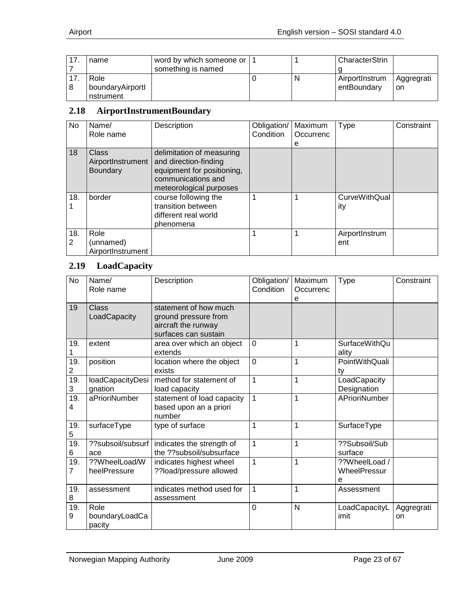| name             | word by which someone or   1 |   | CharacterStrin |            |
|------------------|------------------------------|---|----------------|------------|
|                  | something is named           |   |                |            |
| Role             |                              | N | AirportInstrum | Aggregrati |
| boundaryAirportl |                              |   | entBoundary    | on         |
| nstrument        |                              |   |                |            |

#### <span id="page-22-0"></span>**2.18 AirportInstrumentBoundary**

| No       | Name/<br>Role name                            | Description                                                                                                                       | Obligation/<br>Condition | Maximum<br>Occurrenc<br>е | Type                        | Constraint |
|----------|-----------------------------------------------|-----------------------------------------------------------------------------------------------------------------------------------|--------------------------|---------------------------|-----------------------------|------------|
| 18       | Class<br>AirportInstrument<br><b>Boundary</b> | delimitation of measuring<br>and direction-finding<br>equipment for positioning,<br>communications and<br>meteorological purposes |                          |                           |                             |            |
| 18.      | border                                        | course following the<br>transition between<br>different real world<br>phenomena                                                   |                          |                           | <b>CurveWithQual</b><br>ity |            |
| 18.<br>2 | Role<br>(unnamed)<br>AirportInstrument        |                                                                                                                                   |                          |                           | AirportInstrum<br>ent       |            |

## <span id="page-22-1"></span>**2.19 LoadCapacity**

| No       | Name/<br>Role name               | Description                                                                                  | Obligation/<br>Condition | Maximum<br>Occurrenc<br>e | <b>Type</b>                        | Constraint       |
|----------|----------------------------------|----------------------------------------------------------------------------------------------|--------------------------|---------------------------|------------------------------------|------------------|
| 19       | Class<br>LoadCapacity            | statement of how much<br>ground pressure from<br>aircraft the runway<br>surfaces can sustain |                          |                           |                                    |                  |
| 19.      | extent                           | area over which an object<br>extends                                                         | $\Omega$                 | 1                         | <b>SurfaceWithQu</b><br>ality      |                  |
| 19.<br>2 | position                         | location where the object<br>exists                                                          | $\overline{0}$           | 1                         | PointWithQuali<br>ty               |                  |
| 19.<br>3 | loadCapacityDesi<br>gnation      | method for statement of<br>load capacity                                                     | $\mathbf{1}$             | 1                         | LoadCapacity<br>Designation        |                  |
| 19.<br>4 | aPrioriNumber                    | statement of load capacity<br>based upon an a priori<br>number                               | $\mathbf{1}$             | 1                         | APrioriNumber                      |                  |
| 19.<br>5 | surfaceType                      | type of surface                                                                              | 1                        | 1                         | SurfaceType                        |                  |
| 19.<br>6 | ??subsoil/subsurf<br>ace         | indicates the strength of<br>the ??subsoil/subsurface                                        | $\mathbf{1}$             | 1                         | ??Subsoil/Sub<br>surface           |                  |
| 19.<br>7 | ??WheelLoad/W<br>heelPressure    | indicates highest wheel<br>??load/pressure allowed                                           | $\mathbf{1}$             | $\overline{1}$            | ??WheelLoad /<br>WheelPressur<br>e |                  |
| 19.<br>8 | assessment                       | indicates method used for<br>assessment                                                      | $\mathbf{1}$             | 1                         | Assessment                         |                  |
| 19.<br>9 | Role<br>boundaryLoadCa<br>pacity |                                                                                              | $\overline{0}$           | N                         | LoadCapacityL<br>imit              | Aggregrati<br>on |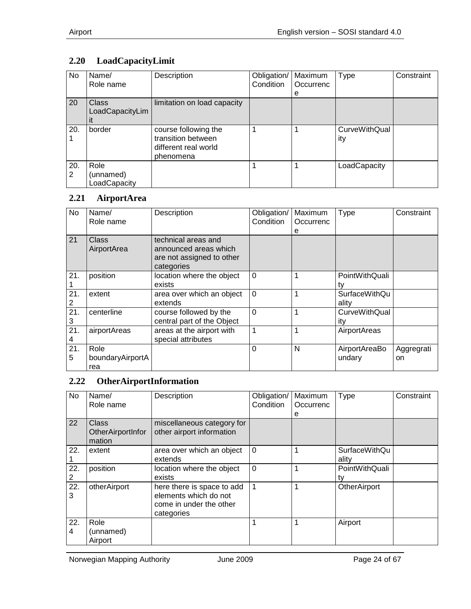# <span id="page-23-0"></span>**2.20 LoadCapacityLimit**

| No       | Name/<br>Role name                | Description                                                                     | Obligation/<br>Condition | Maximum<br>Occurrenc | Type                        | Constraint |
|----------|-----------------------------------|---------------------------------------------------------------------------------|--------------------------|----------------------|-----------------------------|------------|
|          |                                   |                                                                                 |                          | е                    |                             |            |
| 20       | <b>Class</b><br>LoadCapacityLim   | limitation on load capacity                                                     |                          |                      |                             |            |
| 20.      | border                            | course following the<br>transition between<br>different real world<br>phenomena |                          |                      | <b>CurveWithQual</b><br>ity |            |
| 20.<br>2 | Role<br>(unnamed)<br>LoadCapacity |                                                                                 |                          |                      | LoadCapacity                |            |

#### <span id="page-23-1"></span>**2.21 AirportArea**

| No       | Name/<br>Role name              | Description                                                                             | Obligation/<br>Condition | Maximum<br>Occurrenc<br>е | Type                          | Constraint       |
|----------|---------------------------------|-----------------------------------------------------------------------------------------|--------------------------|---------------------------|-------------------------------|------------------|
| 21       | Class<br>AirportArea            | technical areas and<br>announced areas which<br>are not assigned to other<br>categories |                          |                           |                               |                  |
| 21.      | position                        | location where the object<br>exists                                                     | $\Omega$                 |                           | PointWithQuali<br>tv          |                  |
| 21.      | extent                          | area over which an object<br>extends                                                    | 0                        |                           | <b>SurfaceWithQu</b><br>ality |                  |
| 21.<br>3 | centerline                      | course followed by the<br>central part of the Object                                    | $\Omega$                 |                           | <b>CurveWithQual</b><br>ity   |                  |
| 21.<br>4 | airportAreas                    | areas at the airport with<br>special attributes                                         | 1                        |                           | AirportAreas                  |                  |
| 21.<br>5 | Role<br>boundaryAirportA<br>rea |                                                                                         | 0                        | N                         | AirportAreaBo<br>undary       | Aggregrati<br>on |

#### <span id="page-23-2"></span>**2.22 OtherAirportInformation**

| <b>No</b>             | Name/<br>Role name                   | Description                                                                                  | Obligation/<br>Condition | Maximum<br>Occurrenc<br>е | <b>Type</b>                   | Constraint |
|-----------------------|--------------------------------------|----------------------------------------------------------------------------------------------|--------------------------|---------------------------|-------------------------------|------------|
| 22                    | Class<br>OtherAirportInfor<br>mation | miscellaneous category for<br>other airport information                                      |                          |                           |                               |            |
| 22.                   | extent                               | area over which an object<br>extends                                                         | $\Omega$                 |                           | <b>SurfaceWithQu</b><br>ality |            |
| 22.                   | position                             | location where the object<br>exists                                                          | $\Omega$                 |                           | PointWithQuali<br>tv          |            |
| 22.<br>3              | otherAirport                         | here there is space to add<br>elements which do not<br>come in under the other<br>categories | 1                        |                           | OtherAirport                  |            |
| 22.<br>$\overline{4}$ | Role<br>(unnamed)<br>Airport         |                                                                                              |                          |                           | Airport                       |            |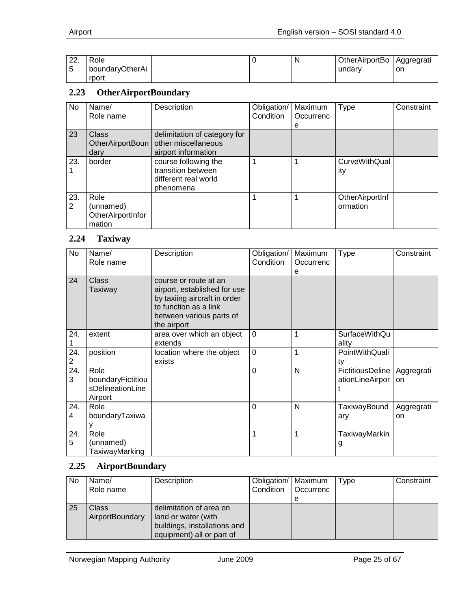| ററ<br><i>__</i> . | Role            |  | в | OtherAirportBo | Aggregrati |
|-------------------|-----------------|--|---|----------------|------------|
|                   | boundaryOtherAi |  |   | undarv         | on         |
|                   | rport           |  |   |                |            |

#### <span id="page-24-0"></span>**2.23 OtherAirportBoundary**

| No       | Name/<br>Role name                               | Description                                                                     | Obligation/<br>Condition | Maximum<br>Occurrenc<br>е | Type                        | Constraint |
|----------|--------------------------------------------------|---------------------------------------------------------------------------------|--------------------------|---------------------------|-----------------------------|------------|
| 23       | <b>Class</b><br>OtherAirportBoun<br>dary         | delimitation of category for<br>other miscellaneous<br>airport information      |                          |                           |                             |            |
| 23.      | border                                           | course following the<br>transition between<br>different real world<br>phenomena | 1                        | 1                         | CurveWithQual<br>ity        |            |
| 23.<br>2 | Role<br>(unnamed)<br>OtherAirportInfor<br>mation |                                                                                 |                          |                           | OtherAirportInf<br>ormation |            |

#### <span id="page-24-1"></span>**2.24 Taxiway**

| No       | Name/<br>Role name                                       | Description                                                                                                                                               | Obligation/<br>Condition | Maximum<br>Occurrenc<br>e | <b>Type</b>                                      | Constraint       |
|----------|----------------------------------------------------------|-----------------------------------------------------------------------------------------------------------------------------------------------------------|--------------------------|---------------------------|--------------------------------------------------|------------------|
| 24       | Class<br>Taxiway                                         | course or route at an<br>airport, established for use<br>by taxiing aircraft in order<br>to function as a link<br>between various parts of<br>the airport |                          |                           |                                                  |                  |
| 24.      | extent                                                   | area over which an object<br>extends                                                                                                                      | $\overline{0}$           | 1                         | SurfaceWithQu<br>ality                           |                  |
| 24.<br>2 | position                                                 | location where the object<br>exists                                                                                                                       | $\mathbf 0$              | 1                         | PointWithQuali<br>tv                             |                  |
| 24.<br>3 | Role<br>boundaryFictitiou<br>sDelineationLine<br>Airport |                                                                                                                                                           | $\overline{0}$           | N                         | FictitiousDeline   Aggregrati<br>ationLineAirpor | on               |
| 24.<br>4 | Role<br>boundaryTaxiwa                                   |                                                                                                                                                           | $\Omega$                 | N                         | TaxiwayBound<br>ary                              | Aggregrati<br>on |
| 24.<br>5 | Role<br>(unnamed)<br>TaxiwayMarking                      |                                                                                                                                                           | 1                        | 1                         | TaxiwayMarkin<br>g                               |                  |

## <span id="page-24-2"></span>**2.25 AirportBoundary**

| No | Name/<br>Role name       | Description                                                                                                 | Obligation/   Maximum | Condition   Occurrenc<br>e | Type | Constraint |
|----|--------------------------|-------------------------------------------------------------------------------------------------------------|-----------------------|----------------------------|------|------------|
| 25 | Class<br>AirportBoundary | delimitation of area on<br>land or water (with<br>buildings, installations and<br>equipment) all or part of |                       |                            |      |            |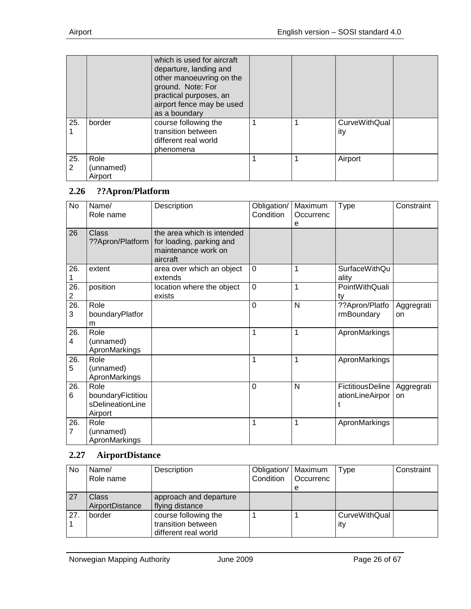|          |                              | which is used for aircraft<br>departure, landing and<br>other manoeuvring on the<br>ground. Note: For<br>practical purposes, an<br>airport fence may be used<br>as a boundary |  |                             |  |
|----------|------------------------------|-------------------------------------------------------------------------------------------------------------------------------------------------------------------------------|--|-----------------------------|--|
| 25.      | border                       | course following the<br>transition between<br>different real world<br>phenomena                                                                                               |  | <b>CurveWithQual</b><br>ity |  |
| 25.<br>2 | Role<br>(unnamed)<br>Airport |                                                                                                                                                                               |  | Airport                     |  |

#### <span id="page-25-0"></span>**2.26 ??Apron/Platform**

| No                    | Name/<br>Role name                                       | Description                                                                               | Obligation/<br>Condition | Maximum<br>Occurrenc<br>е | <b>Type</b>                         | Constraint       |
|-----------------------|----------------------------------------------------------|-------------------------------------------------------------------------------------------|--------------------------|---------------------------|-------------------------------------|------------------|
| 26                    | Class<br>??Apron/Platform                                | the area which is intended<br>for loading, parking and<br>maintenance work on<br>aircraft |                          |                           |                                     |                  |
| 26.                   | extent                                                   | area over which an object<br>extends                                                      | $\mathbf 0$              | 1                         | <b>SurfaceWithQu</b><br>ality       |                  |
| 26.<br>$\overline{c}$ | position                                                 | location where the object<br>exists                                                       | $\overline{0}$           | 1                         | PointWithQuali<br>ty                |                  |
| 26.<br>3              | Role<br>boundaryPlatfor<br>m                             |                                                                                           | $\overline{0}$           | N                         | ??Apron/Platfo<br>rmBoundary        | Aggregrati<br>on |
| 26.<br>4              | Role<br>(unnamed)<br>ApronMarkings                       |                                                                                           | 1                        | 1                         | ApronMarkings                       |                  |
| 26.<br>5              | Role<br>(unnamed)<br>ApronMarkings                       |                                                                                           | 1                        | 1                         | ApronMarkings                       |                  |
| 26.<br>6              | Role<br>boundaryFictitiou<br>sDelineationLine<br>Airport |                                                                                           | $\overline{0}$           | N                         | FictitiousDeline<br>ationLineAirpor | Aggregrati<br>on |
| 26.<br>$\overline{7}$ | Role<br>(unnamed)<br>ApronMarkings                       |                                                                                           | 1                        | 1                         | ApronMarkings                       |                  |

## <span id="page-25-1"></span>**2.27 AirportDistance**

| No  | Name/<br>Role name       | Description                                                        | Obligation/   Maximum<br>Condition | Occurrenc<br>e | Type                        | Constraint |
|-----|--------------------------|--------------------------------------------------------------------|------------------------------------|----------------|-----------------------------|------------|
| 127 | Class<br>AirportDistance | approach and departure<br>flying distance                          |                                    |                |                             |            |
| 27. | border                   | course following the<br>transition between<br>different real world |                                    |                | <b>CurveWithQual</b><br>ity |            |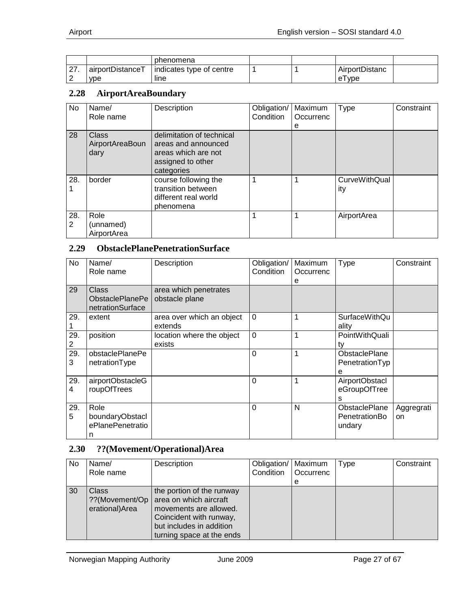|                       |                  | phenomena                |  |                   |  |
|-----------------------|------------------|--------------------------|--|-------------------|--|
| $\sim$<br><u> 21.</u> | airportDistanceT | indicates type of centre |  | AirportDistanc    |  |
| ⌒<br>▃                | <b>vpe</b>       | line                     |  | <b>vpe</b><br>e l |  |

#### <span id="page-26-0"></span>**2.28 AirportAreaBoundary**

| No       | Name/<br>Role name               | Description                                                                                                | Obligation/<br>Condition | Maximum<br>Occurrenc<br>е | Type                        | Constraint |
|----------|----------------------------------|------------------------------------------------------------------------------------------------------------|--------------------------|---------------------------|-----------------------------|------------|
| 28       | Class<br>AirportAreaBoun<br>dary | delimitation of technical<br>areas and announced<br>areas which are not<br>assigned to other<br>categories |                          |                           |                             |            |
| 28.      | border                           | course following the<br>transition between<br>different real world<br>phenomena                            |                          |                           | <b>CurveWithQual</b><br>ity |            |
| 28.<br>2 | Role<br>(unnamed)<br>AirportArea |                                                                                                            |                          |                           | AirportArea                 |            |

#### <span id="page-26-1"></span>**2.29 ObstaclePlanePenetrationSurface**

| No       | Name/<br>Role name                                  | Description                             | Obligation/<br>Condition | Maximum<br>Occurrenc<br>е | <b>Type</b>                                 | Constraint       |
|----------|-----------------------------------------------------|-----------------------------------------|--------------------------|---------------------------|---------------------------------------------|------------------|
| 29       | <b>Class</b><br>ObstaclePlanePe<br>netrationSurface | area which penetrates<br>obstacle plane |                          |                           |                                             |                  |
| 29.      | extent                                              | area over which an object<br>extends    | $\Omega$                 | 1                         | SurfaceWithQu<br>ality                      |                  |
| 29.<br>2 | position                                            | location where the object<br>exists     | $\overline{0}$           | 1                         | PointWithQuali<br>tv                        |                  |
| 29.<br>3 | obstaclePlanePe<br>netrationType                    |                                         | $\Omega$                 | 1                         | <b>ObstaclePlane</b><br>PenetrationTyp<br>е |                  |
| 29.<br>4 | airportObstacleG<br>roupOfTrees                     |                                         | $\Omega$                 | 1                         | AirportObstacl<br>eGroupOfTree<br>s         |                  |
| 29.<br>5 | Role<br>boundaryObstacl<br>ePlanePenetratio<br>n    |                                         | $\Omega$                 | N                         | ObstaclePlane<br>PenetrationBo<br>undary    | Aggregrati<br>on |

#### <span id="page-26-2"></span>**2.30 ??(Movement/Operational)Area**

| <b>No</b> | Name/<br>Role name                                 | Description                                                                                                                                                       | Obligation/   Maximum<br>Condition | Occurrenc<br>е | <b>Type</b> | Constraint |
|-----------|----------------------------------------------------|-------------------------------------------------------------------------------------------------------------------------------------------------------------------|------------------------------------|----------------|-------------|------------|
| 30        | <b>Class</b><br>??(Movement/Op  <br>erational)Area | the portion of the runway<br>area on which aircraft<br>movements are allowed.<br>Coincident with runway,<br>but includes in addition<br>turning space at the ends |                                    |                |             |            |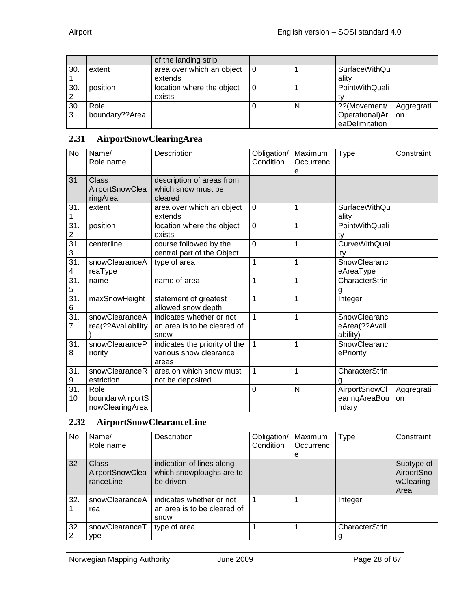|     |                | of the landing strip      |    |   |                      |               |
|-----|----------------|---------------------------|----|---|----------------------|---------------|
| 30. | extent         | area over which an object | ۱0 |   | <b>SurfaceWithQu</b> |               |
|     |                | extends                   |    |   | ality                |               |
| 30. | position       | location where the object |    |   | PointWithQuali       |               |
|     |                | exists                    |    |   |                      |               |
| 30. | Role           |                           |    | N | ??(Movement/         | Aggregrati    |
| 3   | boundary??Area |                           |    |   | Operational)Ar       | <sub>on</sub> |
|     |                |                           |    |   | eaDelimitation       |               |

#### <span id="page-27-0"></span>**2.31 AirportSnowClearingArea**

| No                     | Name/<br>Role name                          | Description                                                      | Obligation/<br>Condition | Maximum<br>Occurrenc<br>е | <b>Type</b>                               | Constraint       |
|------------------------|---------------------------------------------|------------------------------------------------------------------|--------------------------|---------------------------|-------------------------------------------|------------------|
| 31                     | <b>Class</b><br>AirportSnowClea<br>ringArea | description of areas from<br>which snow must be<br>cleared       |                          |                           |                                           |                  |
| 31.                    | extent                                      | area over which an object<br>extends                             | $\mathbf 0$              | 1                         | <b>SurfaceWithQu</b><br>ality             |                  |
| 31.<br>2               | position                                    | location where the object<br>exists                              | $\mathbf 0$              | 1                         | PointWithQuali<br>ty                      |                  |
| $\overline{31}$ .<br>3 | centerline                                  | course followed by the<br>central part of the Object             | 0                        | 1                         | <b>CurveWithQual</b><br>ity               |                  |
| $\overline{31}$ .<br>4 | snowClearanceA<br>reaType                   | type of area                                                     | 1                        | 1                         | SnowClearanc<br>eAreaType                 |                  |
| 31.<br>5               | name                                        | name of area                                                     | 1                        | 1                         | CharacterStrin<br>g                       |                  |
| $\overline{31}$ .<br>6 | maxSnowHeight                               | statement of greatest<br>allowed snow depth                      | 1                        | 1                         | Integer                                   |                  |
| $\overline{31}$ .<br>7 | snowClearanceA<br>rea(??Availability        | indicates whether or not<br>an area is to be cleared of<br>snow  | 1                        | 1                         | SnowClearanc<br>eArea(??Avail<br>ability) |                  |
| 31.<br>8               | snowClearanceP<br>riority                   | indicates the priority of the<br>various snow clearance<br>areas | 1                        | 1                         | SnowClearanc<br>ePriority                 |                  |
| 31.<br>9               | snowClearanceR<br>estriction                | area on which snow must<br>not be deposited                      | $\mathbf{1}$             | 1                         | CharacterStrin<br>g                       |                  |
| 31.<br>10              | Role<br>boundaryAirportS<br>nowClearingArea |                                                                  | 0                        | N                         | AirportSnowCl<br>earingAreaBou<br>ndary   | Aggregrati<br>on |

#### <span id="page-27-1"></span>**2.32 AirportSnowClearanceLine**

| No  | Name/<br>Role name                           | Description                                                        | Obligation/<br>Condition | Maximum<br>Occurrenc | <b>Type</b>    | Constraint                                    |
|-----|----------------------------------------------|--------------------------------------------------------------------|--------------------------|----------------------|----------------|-----------------------------------------------|
|     |                                              |                                                                    |                          | е                    |                |                                               |
| 32  | <b>Class</b><br>AirportSnowClea<br>ranceLine | indication of lines along<br>which snowploughs are to<br>be driven |                          |                      |                | Subtype of<br>AirportSno<br>wClearing<br>Area |
| 32. | snowClearanceA<br>rea                        | indicates whether or not<br>an area is to be cleared of<br>snow    |                          |                      | Integer        |                                               |
| 32. | snowClearanceT                               | type of area                                                       |                          |                      | CharacterStrin |                                               |
| 2   | ype                                          |                                                                    |                          |                      |                |                                               |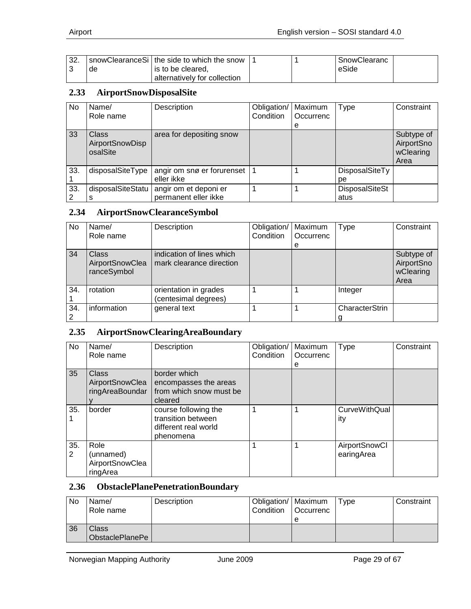| ാറ<br>.ءت |    | I snowClearanceSi   the side to which the snow |  | SnowClearanc |  |
|-----------|----|------------------------------------------------|--|--------------|--|
|           | de | is to be cleared.                              |  | eSide        |  |
|           |    | alternatively for collection                   |  |              |  |

#### <span id="page-28-0"></span>**2.33 AirportSnowDisposalSite**

| No  | Name/                                | Description                | Obligation/ | Maximum   | Type                  | Constraint                                    |
|-----|--------------------------------------|----------------------------|-------------|-----------|-----------------------|-----------------------------------------------|
|     | Role name                            |                            | Condition   | Occurrenc |                       |                                               |
|     |                                      |                            |             | е         |                       |                                               |
| 33  | Class<br>AirportSnowDisp<br>osalSite | area for depositing snow   |             |           |                       | Subtype of<br>AirportSno<br>wClearing<br>Area |
| 33. | disposalSiteType                     | angir om snø er forurenset |             |           | DisposalSiteTy        |                                               |
|     |                                      | eller ikke                 |             |           | рe                    |                                               |
| 33. | disposalSiteStatu                    | angir om et deponi er      |             |           | <b>DisposalSiteSt</b> |                                               |
|     | s                                    | permanent eller ikke       |             |           | atus                  |                                               |

#### <span id="page-28-1"></span>**2.34 AirportSnowClearanceSymbol**

| No  | Name/                                          | Description                                           | Obligation/ | Maximum   | Type           | Constraint                                    |
|-----|------------------------------------------------|-------------------------------------------------------|-------------|-----------|----------------|-----------------------------------------------|
|     | Role name                                      |                                                       | Condition   | Occurrenc |                |                                               |
|     |                                                |                                                       |             | е         |                |                                               |
| 34  | <b>Class</b><br>AirportSnowClea<br>ranceSymbol | indication of lines which<br>mark clearance direction |             |           |                | Subtype of<br>AirportSno<br>wClearing<br>Area |
| 34. | rotation                                       | orientation in grades<br>(centesimal degrees)         |             |           | Integer        |                                               |
| 34. | information                                    | general text                                          |             |           | CharacterStrin |                                               |

## <span id="page-28-2"></span>**2.35 AirportSnowClearingAreaBoundary**

| No       | Name/<br>Role name                               | Description                                                                     | Obligation/<br>Condition | Maximum<br>Occurrenc<br>е | <b>Type</b>                        | Constraint |
|----------|--------------------------------------------------|---------------------------------------------------------------------------------|--------------------------|---------------------------|------------------------------------|------------|
| 35       | Class<br>AirportSnowClea<br>ringAreaBoundar      | border which<br>encompasses the areas<br>from which snow must be<br>cleared     |                          |                           |                                    |            |
| 35.      | border                                           | course following the<br>transition between<br>different real world<br>phenomena | 1                        |                           | <b>CurveWithQual</b><br>ity        |            |
| 35.<br>2 | Role<br>(unnamed)<br>AirportSnowClea<br>ringArea |                                                                                 |                          |                           | <b>AirportSnowCl</b><br>earingArea |            |

#### <span id="page-28-3"></span>**2.36 ObstaclePlanePenetrationBoundary**

| <b>No</b> | Name/<br>Role name       | Description | Obligation/   Maximum<br>Condition | <b>Occurrenc</b><br>е | Tvpe | Constraint |
|-----------|--------------------------|-------------|------------------------------------|-----------------------|------|------------|
| 36        | Class<br>ObstaclePlanePe |             |                                    |                       |      |            |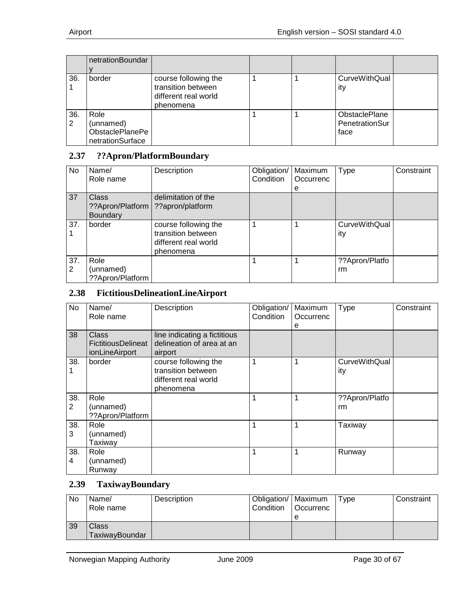|     | netrationBoundar       |                      |  |                      |  |
|-----|------------------------|----------------------|--|----------------------|--|
|     |                        |                      |  |                      |  |
| 36. | border                 | course following the |  | CurveWithQual        |  |
|     |                        | transition between   |  | ity                  |  |
|     |                        | different real world |  |                      |  |
|     |                        | phenomena            |  |                      |  |
| 36. | Role                   |                      |  | <b>ObstaclePlane</b> |  |
| 2   | (unnamed)              |                      |  | PenetrationSur       |  |
|     | <b>ObstaclePlanePe</b> |                      |  | face                 |  |
|     | netrationSurface       |                      |  |                      |  |

#### <span id="page-29-0"></span>**2.37 ??Apron/PlatformBoundary**

| No  | Name/            | Description          | Obligation/ | Maximum   | <b>Type</b>    | Constraint |
|-----|------------------|----------------------|-------------|-----------|----------------|------------|
|     | Role name        |                      | Condition   | Occurrenc |                |            |
|     |                  |                      |             | е         |                |            |
| 37  | Class            | delimitation of the  |             |           |                |            |
|     | ??Apron/Platform | ??apron/platform     |             |           |                |            |
|     | <b>Boundary</b>  |                      |             |           |                |            |
| 37. | border           | course following the |             |           | CurveWithQual  |            |
|     |                  | transition between   |             |           | ity            |            |
|     |                  | different real world |             |           |                |            |
|     |                  | phenomena            |             |           |                |            |
| 37. | Role             |                      |             |           | ??Apron/Platfo |            |
| 2   | (unnamed)        |                      |             |           | rm             |            |
|     | ??Apron/Platform |                      |             |           |                |            |

#### <span id="page-29-1"></span>**2.38 FictitiousDelineationLineAirport**

| No       | Name/<br>Role name                                   | Description                                                                     | Obligation/<br>Condition | Maximum<br>Occurrenc<br>е | <b>Type</b>          | Constraint |
|----------|------------------------------------------------------|---------------------------------------------------------------------------------|--------------------------|---------------------------|----------------------|------------|
| 38       | <b>Class</b><br>FictitiousDelineat<br>ionLineAirport | line indicating a fictitious<br>delineation of area at an<br>airport            |                          |                           |                      |            |
| 38.      | border                                               | course following the<br>transition between<br>different real world<br>phenomena | $\mathbf 1$              | 1                         | CurveWithQual<br>ity |            |
| 38.<br>2 | Role<br>(unnamed)<br>??Apron/Platform                |                                                                                 | 1                        | 1                         | ??Apron/Platfo<br>rm |            |
| 38.<br>3 | Role<br>(unnamed)<br>Taxiway                         |                                                                                 | 1                        | 1                         | Taxiway              |            |
| 38.<br>4 | Role<br>(unnamed)<br>Runway                          |                                                                                 | 1                        | 1                         | Runway               |            |

#### <span id="page-29-2"></span>**2.39 TaxiwayBoundary**

| No | Name/<br>Role name      | Description | Obligation/   Maximum<br>Condition | <b>Occurrenc</b><br>е | Type | Constraint |
|----|-------------------------|-------------|------------------------------------|-----------------------|------|------------|
| 39 | Class<br>TaxiwayBoundar |             |                                    |                       |      |            |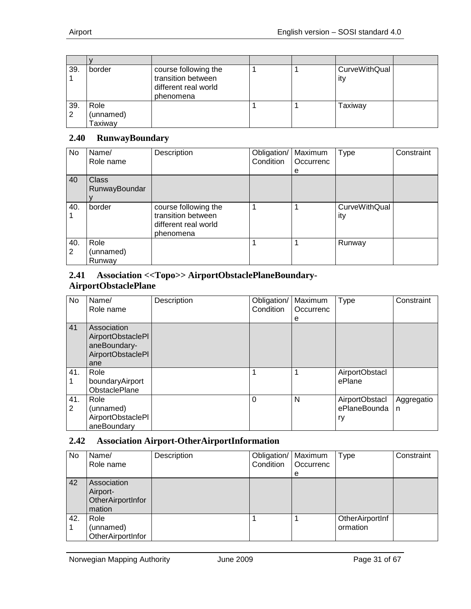| 39.      | border                       | course following the<br>transition between<br>different real world<br>phenomena |  | CurveWithQual<br>ity |  |
|----------|------------------------------|---------------------------------------------------------------------------------|--|----------------------|--|
| 39.<br>2 | Role<br>(unnamed)<br>Taxiway |                                                                                 |  | Taxiway              |  |

#### <span id="page-30-0"></span>**2.40 RunwayBoundary**

| No       | Name/<br>Role name            | Description                                                                     | Obligation/<br>Condition | Maximum<br>Occurrenc<br>е | <b>Type</b>                 | Constraint |
|----------|-------------------------------|---------------------------------------------------------------------------------|--------------------------|---------------------------|-----------------------------|------------|
| 40       | <b>Class</b><br>RunwayBoundar |                                                                                 |                          |                           |                             |            |
| 40.      | border                        | course following the<br>transition between<br>different real world<br>phenomena |                          |                           | <b>CurveWithQual</b><br>ity |            |
| 40.<br>2 | Role<br>(unnamed)<br>Runway   |                                                                                 |                          |                           | Runway                      |            |

#### <span id="page-30-1"></span>**2.41 Association <<Topo>> AirportObstaclePlaneBoundary-AirportObstaclePlane**

| No       | Name/<br>Role name                                                           | Description | Obligation/<br>Condition | Maximum<br>Occurrenc<br>е | <b>Type</b>                          | Constraint      |
|----------|------------------------------------------------------------------------------|-------------|--------------------------|---------------------------|--------------------------------------|-----------------|
| 41       | Association<br>AirportObstaclePI<br>aneBoundary-<br>AirportObstaclePI<br>ane |             |                          |                           |                                      |                 |
| 41.      | Role<br>boundaryAirport<br>ObstaclePlane                                     |             |                          |                           | <b>AirportObstacl</b><br>ePlane      |                 |
| 41.<br>2 | Role<br>(unnamed)<br>AirportObstaclePI<br>aneBoundary                        |             | $\Omega$                 | N                         | AirportObstacl<br>ePlaneBounda<br>ry | Aggregatio<br>n |

#### <span id="page-30-2"></span>**2.42 Association Airport-OtherAirportInformation**

| No  | Name/<br>Role name                                     | Description | Obligation/<br>Condition | Maximum<br>Occurrenc<br>е | <b>Type</b>                 | Constraint |
|-----|--------------------------------------------------------|-------------|--------------------------|---------------------------|-----------------------------|------------|
| 42  | Association<br>Airport-<br>OtherAirportInfor<br>mation |             |                          |                           |                             |            |
| 42. | Role<br>(unnamed)<br>OtherAirportInfor                 |             |                          |                           | OtherAirportInf<br>ormation |            |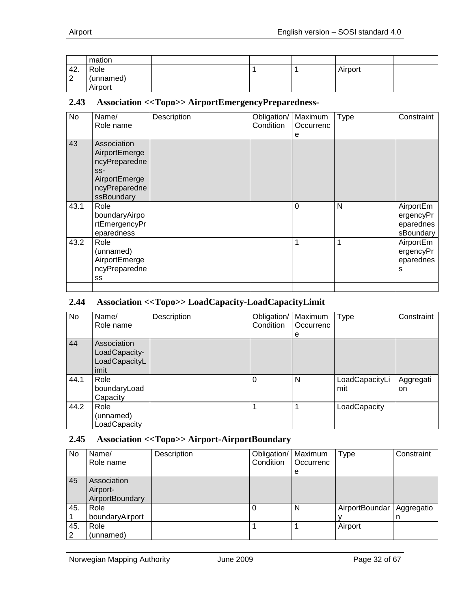|               | mation                       |  |         |  |
|---------------|------------------------------|--|---------|--|
| 42.<br>ົ<br>∠ | Role<br>(unnamed)<br>Airport |  | Airport |  |

#### <span id="page-31-0"></span>**2.43 Association <<Topo>> AirportEmergencyPreparedness-**

| No   | Name/<br>Role name                                                                                     | Description | Obligation/<br>Condition | Maximum<br>Occurrenc<br>е | <b>Type</b> | Constraint                                       |
|------|--------------------------------------------------------------------------------------------------------|-------------|--------------------------|---------------------------|-------------|--------------------------------------------------|
| 43   | Association<br>AirportEmerge<br>ncyPreparedne<br>$SS-$<br>AirportEmerge<br>ncyPreparedne<br>ssBoundary |             |                          |                           |             |                                                  |
| 43.1 | Role<br>boundaryAirpo<br>rtEmergencyPr<br>eparedness                                                   |             |                          | $\mathbf 0$               | N           | AirportEm<br>ergencyPr<br>eparednes<br>sBoundary |
| 43.2 | Role<br>(unnamed)<br>AirportEmerge<br>ncyPreparedne<br>SS                                              |             |                          | 1                         |             | AirportEm<br>ergencyPr<br>eparednes<br>s         |
|      |                                                                                                        |             |                          |                           |             |                                                  |

#### <span id="page-31-1"></span>**2.44 Association <<Topo>> LoadCapacity-LoadCapacityLimit**

| <b>No</b> | Name/                                                 | Description | Obligation/ | Maximum   | Type                  | Constraint      |
|-----------|-------------------------------------------------------|-------------|-------------|-----------|-----------------------|-----------------|
|           | Role name                                             |             | Condition   | Occurrenc |                       |                 |
|           |                                                       |             |             | е         |                       |                 |
| 44        | Association<br>LoadCapacity-<br>LoadCapacityL<br>imit |             |             |           |                       |                 |
| 44.1      | Role<br>boundaryLoad<br>Capacity                      |             | 0           | N         | LoadCapacityLi<br>mit | Aggregati<br>on |
| 44.2      | Role<br>(unnamed)<br>LoadCapacity                     |             |             |           | LoadCapacity          |                 |

#### <span id="page-31-2"></span>**2.45 Association <<Topo>> Airport-AirportBoundary**

| No       | Name/<br>Role name                         | Description | Obligation/   Maximum<br>Condition | Occurrenc<br>е | <b>Type</b>    | Constraint      |
|----------|--------------------------------------------|-------------|------------------------------------|----------------|----------------|-----------------|
| 45       | Association<br>Airport-<br>AirportBoundary |             |                                    |                |                |                 |
| 45.      | Role<br>boundaryAirport                    |             |                                    | N              | AirportBoundar | Aggregatio<br>n |
| 45.<br>2 | Role<br>(unnamed)                          |             |                                    |                | Airport        |                 |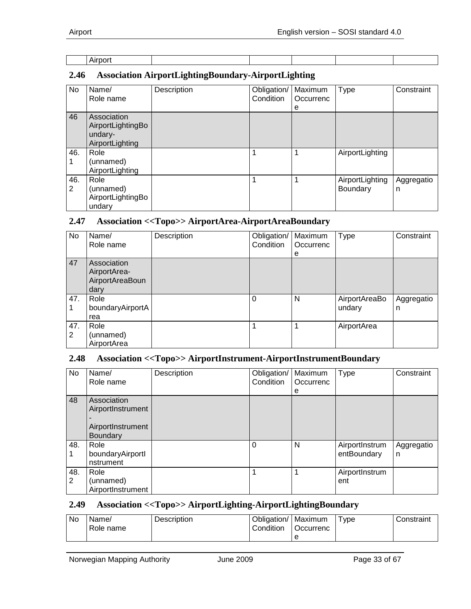|--|

## <span id="page-32-0"></span>**2.46 Association AirportLightingBoundary-AirportLighting**

| No.      | Name/<br>Role name                                             | Description | Obligation/<br>Condition | Maximum<br>Occurrenc<br>е | Type                        | Constraint      |
|----------|----------------------------------------------------------------|-------------|--------------------------|---------------------------|-----------------------------|-----------------|
| 46       | Association<br>AirportLightingBo<br>undary-<br>AirportLighting |             |                          |                           |                             |                 |
| 46.      | Role<br>(unnamed)<br>AirportLighting                           |             |                          |                           | AirportLighting             |                 |
| 46.<br>2 | Role<br>(unnamed)<br>AirportLightingBo<br>undary               |             |                          |                           | AirportLighting<br>Boundary | Aggregatio<br>n |

## <span id="page-32-1"></span>**2.47 Association <<Topo>> AirportArea-AirportAreaBoundary**

| No       | Name/<br>Role name                                     | Description | Obligation/   Maximum<br>Condition | Occurrenc | <b>Type</b>             | Constraint      |
|----------|--------------------------------------------------------|-------------|------------------------------------|-----------|-------------------------|-----------------|
|          |                                                        |             |                                    | е         |                         |                 |
| 47       | Association<br>AirportArea-<br>AirportAreaBoun<br>dary |             |                                    |           |                         |                 |
| 47.      | Role<br>boundaryAirportA<br>rea                        |             | $\Omega$                           | N         | AirportAreaBo<br>undary | Aggregatio<br>n |
| 47.<br>2 | Role<br>(unnamed)<br>AirportArea                       |             |                                    | 1         | AirportArea             |                 |

#### <span id="page-32-2"></span>**2.48 Association <<Topo>> AirportInstrument-AirportInstrumentBoundary**

| No       | Name/<br>Role name                     | Description | Obligation/<br>Condition | Maximum<br>Occurrenc | <b>Type</b>                   | Constraint      |
|----------|----------------------------------------|-------------|--------------------------|----------------------|-------------------------------|-----------------|
|          |                                        |             |                          | е                    |                               |                 |
| 48       | Association<br>AirportInstrument       |             |                          |                      |                               |                 |
|          | AirportInstrument                      |             |                          |                      |                               |                 |
|          | <b>Boundary</b>                        |             |                          |                      |                               |                 |
| 48.      | Role<br>boundaryAirportl<br>nstrument  |             | 0                        | N                    | AirportInstrum<br>entBoundary | Aggregatio<br>n |
| 48.<br>2 | Role<br>(unnamed)<br>AirportInstrument |             |                          |                      | AirportInstrum<br>ent         |                 |

#### <span id="page-32-3"></span>**2.49 Association <<Topo>> AirportLighting-AirportLightingBoundary**

| <b>No</b> | Name/<br>Role name | Description | Obligation/<br>Condition | Maximum<br>Occurrenc | $\mathsf{v}$ ре | Constraint |
|-----------|--------------------|-------------|--------------------------|----------------------|-----------------|------------|
|           |                    |             |                          | е                    |                 |            |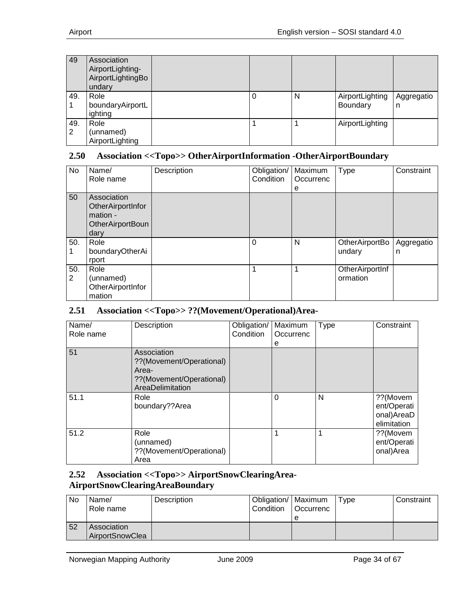| 49       | Association<br>AirportLighting-<br>AirportLightingBo<br>undary |   |   |                             |                 |
|----------|----------------------------------------------------------------|---|---|-----------------------------|-----------------|
| 49.      | Role<br>boundaryAirportL<br>ighting                            | 0 | N | AirportLighting<br>Boundary | Aggregatio<br>n |
| 49.<br>2 | Role<br>(unnamed)<br>AirportLighting                           |   |   | AirportLighting             |                 |

#### <span id="page-33-0"></span>**2.50 Association <<Topo>> OtherAirportInformation -OtherAirportBoundary**

| No       | Name/<br>Role name                                                              | Description | Obligation/<br>Condition | Maximum<br>Occurrenc<br>e | <b>Type</b>                 | Constraint      |
|----------|---------------------------------------------------------------------------------|-------------|--------------------------|---------------------------|-----------------------------|-----------------|
| 50       | Association<br>OtherAirportInfor<br>mation -<br><b>OtherAirportBoun</b><br>dary |             |                          |                           |                             |                 |
| 50.      | Role<br>boundaryOtherAi<br>rport                                                |             | $\Omega$                 | N                         | OtherAirportBo<br>undary    | Aggregatio<br>n |
| 50.<br>2 | Role<br>(unnamed)<br>OtherAirportInfor<br>mation                                |             | 1                        | 1                         | OtherAirportInf<br>ormation |                 |

#### <span id="page-33-1"></span>**2.51 Association <<Topo>> ??(Movement/Operational)Area-**

| Name/<br>Role name | Description                                                                                      | Obligation/<br>Condition | Maximum<br>Occurrenc<br>е | <b>Type</b> | Constraint                                           |
|--------------------|--------------------------------------------------------------------------------------------------|--------------------------|---------------------------|-------------|------------------------------------------------------|
| 51                 | Association<br>??(Movement/Operational)<br>Area-<br>??(Movement/Operational)<br>AreaDelimitation |                          |                           |             |                                                      |
| 51.1               | Role<br>boundary??Area                                                                           |                          | $\Omega$                  | N           | ??(Movem<br>ent/Operati<br>onal)AreaD<br>elimitation |
| 51.2               | Role<br>(unnamed)<br>??(Movement/Operational)<br>Area                                            |                          | 1                         | 1           | ??(Movem<br>ent/Operati<br>onal)Area                 |

#### <span id="page-33-2"></span>**2.52 Association <<Topo>> AirportSnowClearingArea-AirportSnowClearingAreaBoundary**

| No | Name/<br>Role name             | Description | Obligation/   Maximum<br>Condition | <b>Occurrenc</b><br>e | Tvpe | Constraint |
|----|--------------------------------|-------------|------------------------------------|-----------------------|------|------------|
| 52 | Association<br>AirportSnowClea |             |                                    |                       |      |            |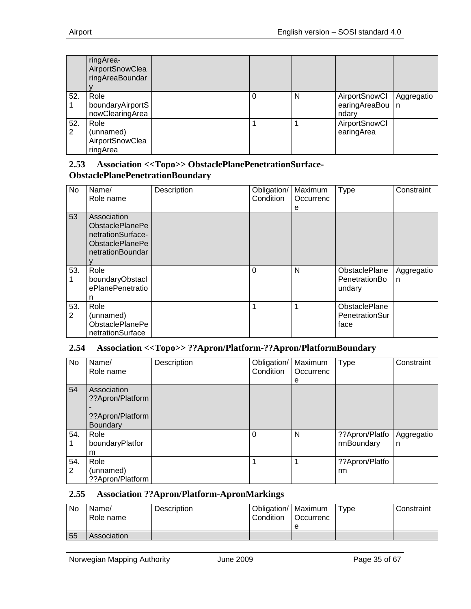|          | ringArea-<br>AirportSnowClea<br>ringAreaBoundar  |   |   |                                             |            |
|----------|--------------------------------------------------|---|---|---------------------------------------------|------------|
| 52.      | Role<br>boundaryAirportS<br>nowClearingArea      | 0 | N | AirportSnowCl<br>earingAreaBou   n<br>ndary | Aggregatio |
| 52.<br>2 | Role<br>(unnamed)<br>AirportSnowClea<br>ringArea |   |   | AirportSnowCl<br>earingArea                 |            |

#### <span id="page-34-0"></span>**2.53 Association <<Topo>> ObstaclePlanePenetrationSurface-ObstaclePlanePenetrationBoundary**

| No       | Name/<br>Role name                                                                                       | Description | Obligation/<br>Condition | Maximum<br>Occurrenc<br>е | Type                                            | Constraint      |
|----------|----------------------------------------------------------------------------------------------------------|-------------|--------------------------|---------------------------|-------------------------------------------------|-----------------|
| 53       | Association<br><b>ObstaclePlanePe</b><br>netrationSurface-<br><b>ObstaclePlanePe</b><br>netrationBoundar |             |                          |                           |                                                 |                 |
| 53.<br>1 | Role<br>boundaryObstacl<br>ePlanePenetratio<br>n                                                         |             | $\Omega$                 | N                         | <b>ObstaclePlane</b><br>PenetrationBo<br>undary | Aggregatio<br>n |
| 53.<br>2 | Role<br>(unnamed)<br><b>ObstaclePlanePe</b><br>netrationSurface                                          |             | 1                        | 1                         | <b>ObstaclePlane</b><br>PenetrationSur<br>face  |                 |

#### <span id="page-34-1"></span>**2.54 Association <<Topo>> ??Apron/Platform-??Apron/PlatformBoundary**

| No       | Name/<br>Role name                                              | Description | Obligation/<br>Condition | Maximum<br>Occurrenc<br>e | <b>Type</b>                  | Constraint      |
|----------|-----------------------------------------------------------------|-------------|--------------------------|---------------------------|------------------------------|-----------------|
| 54       | Association<br>??Apron/Platform<br>??Apron/Platform<br>Boundary |             |                          |                           |                              |                 |
| 54.      | Role<br>boundaryPlatfor<br>m                                    |             | $\Omega$                 | N                         | ??Apron/Platfo<br>rmBoundary | Aggregatio<br>n |
| 54.<br>2 | Role<br>(unnamed)<br>??Apron/Platform                           |             |                          |                           | ??Apron/Platfo<br>rm         |                 |

#### <span id="page-34-2"></span>**2.55 Association ??Apron/Platform-ApronMarkings**

| No. | Name/<br>Role name | <b>Description</b> | Obligation/   Maximum<br>Condition | <b>Occurrenc</b> | $T$ vpe | Constraint |
|-----|--------------------|--------------------|------------------------------------|------------------|---------|------------|
|     |                    |                    |                                    | e                |         |            |
| 55  | Association        |                    |                                    |                  |         |            |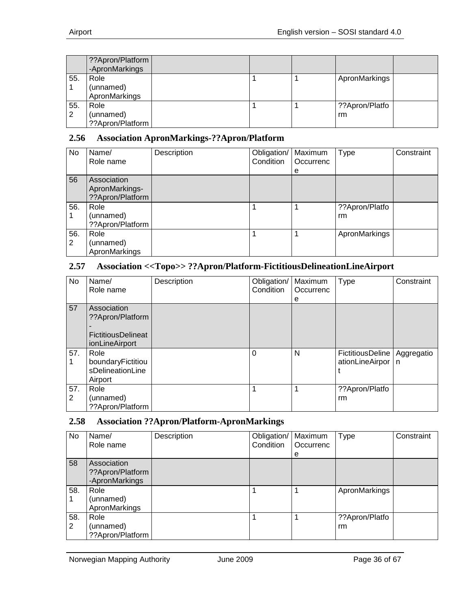|          | ??Apron/Platform<br>-ApronMarkings    |  |                      |  |
|----------|---------------------------------------|--|----------------------|--|
| 55.      | Role<br>(unnamed)<br>ApronMarkings    |  | ApronMarkings        |  |
| 55.<br>2 | Role<br>(unnamed)<br>??Apron/Platform |  | ??Apron/Platfo<br>rm |  |

#### <span id="page-35-0"></span>**2.56 Association ApronMarkings-??Apron/Platform**

| No.      | Name/<br>Role name                                | Description | Obligation/<br>Condition | Maximum<br>Occurrenc<br>е | Type                 | Constraint |
|----------|---------------------------------------------------|-------------|--------------------------|---------------------------|----------------------|------------|
| 56       | Association<br>ApronMarkings-<br>??Apron/Platform |             |                          |                           |                      |            |
| 56.      | Role<br>(unnamed)<br>??Apron/Platform             |             |                          |                           | ??Apron/Platfo<br>rm |            |
| 56.<br>2 | Role<br>(unnamed)<br>ApronMarkings                |             |                          |                           | ApronMarkings        |            |

#### <span id="page-35-1"></span>**2.57 Association <<Topo>> ??Apron/Platform-FictitiousDelineationLineAirport**

| No       | Name/<br>Role name                                                             | Description | Obligation/<br>Condition | Maximum<br>Occurrenc<br>е | <b>Type</b>                         | Constraint        |
|----------|--------------------------------------------------------------------------------|-------------|--------------------------|---------------------------|-------------------------------------|-------------------|
| 57       | Association<br>??Apron/Platform<br><b>FictitiousDelineat</b><br>ionLineAirport |             |                          |                           |                                     |                   |
| 57.      | Role<br>boundaryFictitiou<br>sDelineationLine<br>Airport                       |             | $\Omega$                 | N                         | FictitiousDeline<br>ationLineAirpor | Aggregatio<br>l n |
| 57.<br>2 | Role<br>(unnamed)<br>??Apron/Platform                                          |             |                          |                           | ??Apron/Platfo<br>rm                |                   |

#### <span id="page-35-2"></span>**2.58 Association ??Apron/Platform-ApronMarkings**

| No       | Name/<br>Role name                                | Description | Obligation/<br>Condition | Maximum<br>Occurrenc<br>e | Type                 | Constraint |
|----------|---------------------------------------------------|-------------|--------------------------|---------------------------|----------------------|------------|
| 58       | Association<br>??Apron/Platform<br>-ApronMarkings |             |                          |                           |                      |            |
| 58.      | Role<br>(unnamed)<br>ApronMarkings                |             |                          |                           | ApronMarkings        |            |
| 58.<br>2 | Role<br>(unnamed)<br>??Apron/Platform             |             |                          |                           | ??Apron/Platfo<br>rm |            |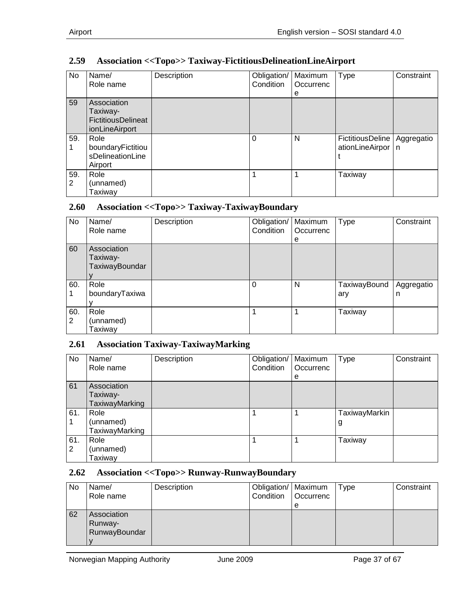## <span id="page-36-0"></span>**2.59 Association <<Topo>> Taxiway-FictitiousDelineationLineAirport**

| No       | Name/<br>Role name                                                     | Description | Obligation/<br>Condition | Maximum<br>Occurrenc<br>е | <b>Type</b>                           | Constraint      |
|----------|------------------------------------------------------------------------|-------------|--------------------------|---------------------------|---------------------------------------|-----------------|
| 59       | Association<br>Taxiway-<br><b>FictitiousDelineat</b><br>ionLineAirport |             |                          |                           |                                       |                 |
| 59.      | Role<br>boundaryFictitiou<br>sDelineationLine<br>Airport               |             | 0                        | N                         | FictitiousDeline  <br>ationLineAirpor | Aggregatio<br>n |
| 59.<br>2 | Role<br>(unnamed)<br>Taxiwav                                           |             |                          |                           | Taxiway                               |                 |

#### <span id="page-36-1"></span>**2.60 Association <<Topo>> Taxiway-TaxiwayBoundary**

| <b>No</b> | Name/                                     | Description | Obligation/ | Maximum        | <b>Type</b>         | Constraint      |
|-----------|-------------------------------------------|-------------|-------------|----------------|---------------------|-----------------|
|           | Role name                                 |             | Condition   | Occurrenc<br>е |                     |                 |
| 60        | Association<br>Taxiway-<br>TaxiwayBoundar |             |             |                |                     |                 |
| 60.       | Role<br>boundaryTaxiwa                    |             | $\Omega$    | N              | TaxiwayBound<br>ary | Aggregatio<br>n |
| 60.<br>2  | Role<br>(unnamed)<br>Taxiway              |             |             |                | Taxiway             |                 |

#### <span id="page-36-2"></span>**2.61 Association Taxiway-TaxiwayMarking**

| No       | Name/<br>Role name                        | Description | Obligation/<br>Condition | Maximum<br>Occurrenc<br>e | Type               | Constraint |
|----------|-------------------------------------------|-------------|--------------------------|---------------------------|--------------------|------------|
| 61       | Association<br>Taxiway-<br>TaxiwayMarking |             |                          |                           |                    |            |
| 61.      | Role<br>(unnamed)<br>TaxiwayMarking       |             |                          |                           | TaxiwayMarkin<br>g |            |
| 61.<br>2 | Role<br>(unnamed)<br>Taxiway              |             |                          |                           | Taxiway            |            |

#### <span id="page-36-3"></span>**2.62 Association <<Topo>> Runway-RunwayBoundary**

| <b>No</b> | Name/<br>Role name                      | Description | Obligation/   Maximum<br>Condition | <b>Occurrenc</b><br>e | Type | Constraint |
|-----------|-----------------------------------------|-------------|------------------------------------|-----------------------|------|------------|
| 62        | Association<br>Runway-<br>RunwayBoundar |             |                                    |                       |      |            |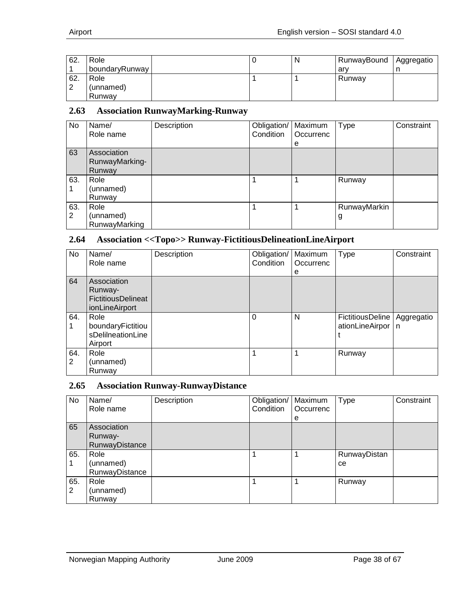| 62. | Role           |  | N | RunwayBound | Aggregatio |
|-----|----------------|--|---|-------------|------------|
|     | boundaryRunway |  |   | arv         |            |
| 62. | Role           |  |   | Runway      |            |
| ⌒   | (unnamed)      |  |   |             |            |
|     | Runwav         |  |   |             |            |

#### <span id="page-37-0"></span>**2.63 Association RunwayMarking-Runway**

| <b>No</b> | Name/<br>Role name                      | Description | Obligation/<br>Condition | Maximum<br>Occurrenc<br>е | Type              | Constraint |
|-----------|-----------------------------------------|-------------|--------------------------|---------------------------|-------------------|------------|
| 63        | Association<br>RunwayMarking-<br>Runway |             |                          |                           |                   |            |
| 63.       | Role<br>(unnamed)<br>Runway             |             |                          |                           | Runway            |            |
| 63.<br>2  | Role<br>(unnamed)<br>RunwayMarking      |             |                          |                           | RunwayMarkin<br>g |            |

#### <span id="page-37-1"></span>**2.64 Association <<Topo>> Runway-FictitiousDelineationLineAirport**

| No                    | Name/<br>Role name                                             | Description | Obligation/<br>Condition | Maximum<br>Occurrenc<br>е | Type                                | Constraint      |
|-----------------------|----------------------------------------------------------------|-------------|--------------------------|---------------------------|-------------------------------------|-----------------|
| 64                    | Association<br>Runway-<br>FictitiousDelineat<br>ionLineAirport |             |                          |                           |                                     |                 |
| 64.                   | Role<br>boundaryFictitiou<br>sDelilneationLine<br>Airport      |             | 0                        | N                         | FictitiousDeline<br>ationLineAirpor | Aggregatio<br>n |
| 64.<br>$\overline{2}$ | Role<br>(unnamed)<br>Runway                                    |             |                          |                           | Runway                              |                 |

#### <span id="page-37-2"></span>**2.65 Association Runway-RunwayDistance**

| No       | Name/<br>Role name                       | Description | Obligation/<br>Condition | Maximum<br>Occurrenc<br>е | <b>Type</b>        | Constraint |
|----------|------------------------------------------|-------------|--------------------------|---------------------------|--------------------|------------|
| 65       | Association<br>Runway-<br>RunwayDistance |             |                          |                           |                    |            |
| 65.      | Role<br>(unnamed)<br>RunwayDistance      |             |                          |                           | RunwayDistan<br>ce |            |
| 65.<br>2 | Role<br>(unnamed)<br>Runway              |             |                          |                           | Runway             |            |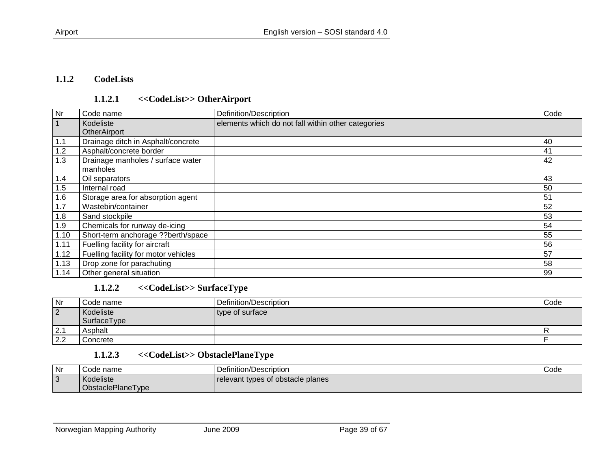#### **1.1.2 CodeLists**

#### **1.1.2.1 <<CodeList>> OtherAirport**

| Nr   | Code name                            | Definition/Description                             | Code |
|------|--------------------------------------|----------------------------------------------------|------|
|      | Kodeliste                            | elements which do not fall within other categories |      |
|      | <b>OtherAirport</b>                  |                                                    |      |
| 1.1  | Drainage ditch in Asphalt/concrete   |                                                    | 40   |
| 1.2  | Asphalt/concrete border              |                                                    | 41   |
| 1.3  | Drainage manholes / surface water    |                                                    | 42   |
|      | manholes                             |                                                    |      |
| 1.4  | Oil separators                       |                                                    | 43   |
| 1.5  | Internal road                        |                                                    | 50   |
| 1.6  | Storage area for absorption agent    |                                                    | 51   |
| 1.7  | Wastebin/container                   |                                                    | 52   |
| 1.8  | Sand stockpile                       |                                                    | 53   |
| 1.9  | Chemicals for runway de-icing        |                                                    | 54   |
| 1.10 | Short-term anchorage ??berth/space   |                                                    | 55   |
| 1.11 | Fuelling facility for aircraft       |                                                    | 56   |
| 1.12 | Fuelling facility for motor vehicles |                                                    | 57   |
| 1.13 | Drop zone for parachuting            |                                                    | 58   |
| 1.14 | Other general situation              |                                                    | 99   |

#### <span id="page-38-1"></span><span id="page-38-0"></span>**1.1.2.2 <<CodeList>> SurfaceType**

| Nr             | l Code name | Definition/Description | Code |
|----------------|-------------|------------------------|------|
| $\overline{2}$ | Kodeliste   | type of surface        |      |
|                | SurfaceType |                        |      |
| 2.1            | Asphalt     |                        |      |
| 2.2            | l Concrete  |                        |      |

## **1.1.2.3 <<CodeList>> ObstaclePlaneType**

| Nr | ;ode name         | $\overline{\phantom{a}}$<br>Definition/Description | Code |
|----|-------------------|----------------------------------------------------|------|
| 3  | Kodeliste         | relevant types of obstacle planes                  |      |
|    | ObstaclePlaneType |                                                    |      |

<span id="page-38-3"></span><span id="page-38-2"></span>Norwegian Mapping Authority **Conserversity** June 2009 **Page 39 of 67**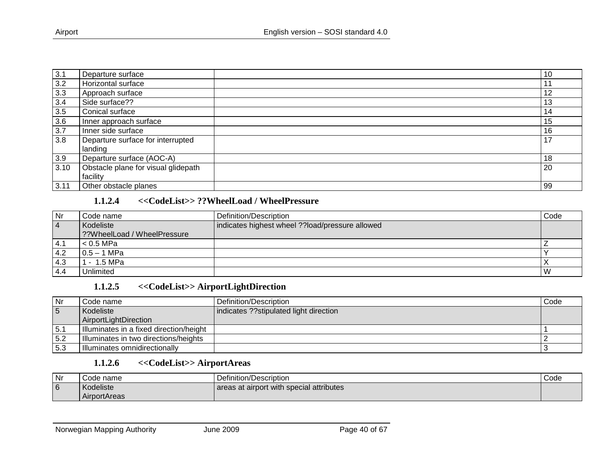| 3.1  | Departure surface                            | 10 |
|------|----------------------------------------------|----|
| 3.2  | Horizontal surface                           |    |
| 3.3  | Approach surface                             | 12 |
| 3.4  | Side surface??                               | 13 |
| 3.5  | Conical surface                              | 14 |
| 3.6  | Inner approach surface                       | 15 |
| 3.7  | Inner side surface                           | 16 |
| 3.8  | Departure surface for interrupted<br>landing | 17 |
| 3.9  | Departure surface (AOC-A)                    | 18 |
| 3.10 | Obstacle plane for visual glidepath          | 20 |
|      | facility                                     |    |
| 3.11 | Other obstacle planes                        | 99 |

#### **1.1.2.4 <<CodeList>> ??WheelLoad / WheelPressure**

| <b>Nr</b>      | Code name                   | Definition/Description                          | Code |
|----------------|-----------------------------|-------------------------------------------------|------|
| $\overline{4}$ | Kodeliste                   | indicates highest wheel ??load/pressure allowed |      |
|                | 2?WheelLoad / WheelPressure |                                                 |      |
| 14.1           | < 0.5 MPa                   |                                                 |      |
| 4.2            | $0.5 - 1$ MPa               |                                                 |      |
| 4.3            | 1 - 1.5 MPa                 |                                                 |      |
| 4.4            | Unlimited                   |                                                 | W    |

## **1.1.2.5 <<CodeList>> AirportLightDirection**

<span id="page-39-0"></span>

| Nr  | l Code name                             | Definition/Description                  | Code |
|-----|-----------------------------------------|-----------------------------------------|------|
| 5   | Kodeliste                               | indicates ?? stipulated light direction |      |
|     | AirportLightDirection                   |                                         |      |
| 5.1 | Illuminates in a fixed direction/height |                                         |      |
| 5.2 | Illuminates in two directions/heights   |                                         |      |
| 5.3 | Illuminates omnidirectionally           |                                         |      |

#### **1.1.2.6 <<CodeList>> AirportAreas**

<span id="page-39-2"></span><span id="page-39-1"></span>

| Nr | Code name    | Definition/Description                   | Code |
|----|--------------|------------------------------------------|------|
| 6  | Kodeliste    | areas at airport with special attributes |      |
|    | AirportAreas |                                          |      |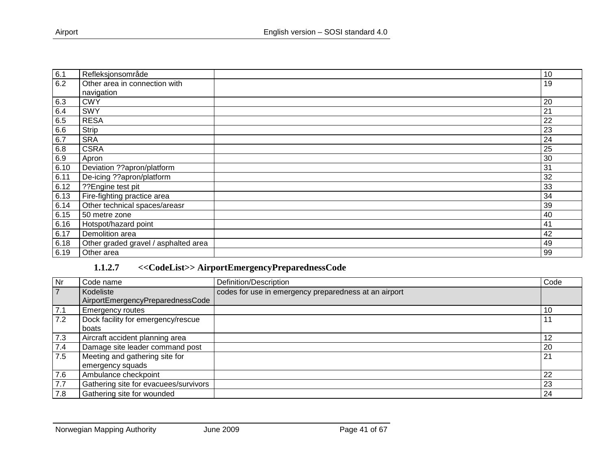| 6.1  | Refleksjonsområde                    | 10 |
|------|--------------------------------------|----|
| 6.2  | Other area in connection with        | 19 |
|      | navigation                           |    |
| 6.3  | <b>CWY</b>                           | 20 |
| 6.4  | SWY                                  | 21 |
| 6.5  | <b>RESA</b>                          | 22 |
| 6.6  | Strip                                | 23 |
| 6.7  | <b>SRA</b>                           | 24 |
| 6.8  | <b>CSRA</b>                          | 25 |
| 6.9  | Apron                                | 30 |
| 6.10 | Deviation ??apron/platform           | 31 |
| 6.11 | De-icing ??apron/platform            | 32 |
| 6.12 | ??Engine test pit                    | 33 |
| 6.13 | Fire-fighting practice area          | 34 |
| 6.14 | Other technical spaces/areasr        | 39 |
| 6.15 | 50 metre zone                        | 40 |
| 6.16 | Hotspot/hazard point                 | 41 |
| 6.17 | Demolition area                      | 42 |
| 6.18 | Other graded gravel / asphalted area | 49 |
| 6.19 | Other area                           | 99 |

## **1.1.2.7 <<CodeList>> AirportEmergencyPreparednessCode**

<span id="page-40-0"></span>

| Nr  | Code name                             | Definition/Description                                | Code |
|-----|---------------------------------------|-------------------------------------------------------|------|
| 7   | Kodeliste                             | codes for use in emergency preparedness at an airport |      |
|     | AirportEmergencyPreparednessCode      |                                                       |      |
| 7.1 | <b>Emergency routes</b>               |                                                       | 10   |
| 7.2 | Dock facility for emergency/rescue    |                                                       | 11   |
|     | boats                                 |                                                       |      |
| 7.3 | Aircraft accident planning area       |                                                       | 12   |
| 7.4 | Damage site leader command post       |                                                       | 20   |
| 7.5 | Meeting and gathering site for        |                                                       | 21   |
|     | emergency squads                      |                                                       |      |
| 7.6 | Ambulance checkpoint                  |                                                       | 22   |
| 7.7 | Gathering site for evacuees/survivors |                                                       | 23   |
| 7.8 | Gathering site for wounded            |                                                       | 24   |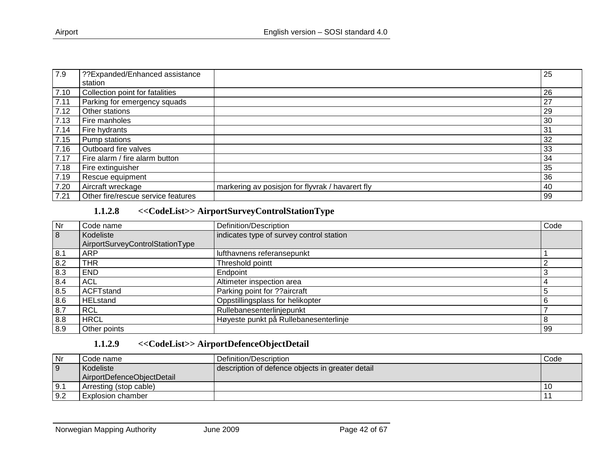| 7.9  | ??Expanded/Enhanced assistance     |                                                  | 25 |
|------|------------------------------------|--------------------------------------------------|----|
|      | station                            |                                                  |    |
| 7.10 | Collection point for fatalities    |                                                  | 26 |
| 7.11 | Parking for emergency squads       |                                                  | 27 |
| 7.12 | Other stations                     |                                                  | 29 |
| 7.13 | Fire manholes                      |                                                  | 30 |
| 7.14 | Fire hydrants                      |                                                  | 31 |
| 7.15 | Pump stations                      |                                                  | 32 |
| 7.16 | Outboard fire valves               |                                                  | 33 |
| 7.17 | Fire alarm / fire alarm button     |                                                  | 34 |
| 7.18 | Fire extinguisher                  |                                                  | 35 |
| 7.19 | Rescue equipment                   |                                                  | 36 |
| 7.20 | Aircraft wreckage                  | markering av posisjon for flyvrak / havarert fly | 40 |
| 7.21 | Other fire/rescue service features |                                                  | 99 |

#### **1.1.2.8 <<CodeList>> AirportSurveyControlStationType**

| <b>Nr</b> | Code name                       | Definition/Description                   | Code |
|-----------|---------------------------------|------------------------------------------|------|
| 8         | Kodeliste                       | indicates type of survey control station |      |
|           | AirportSurveyControlStationType |                                          |      |
| 8.1       | <b>ARP</b>                      | lufthavnens referansepunkt               |      |
| 8.2       | THR                             | Threshold pointt                         |      |
| 8.3       | <b>END</b>                      | Endpoint                                 |      |
| 8.4       | <b>ACL</b>                      | Altimeter inspection area                |      |
| 8.5       | <b>ACFTstand</b>                | Parking point for ??aircraft             |      |
| 8.6       | <b>HELstand</b>                 | Oppstillingsplass for helikopter         |      |
| 8.7       | <b>RCL</b>                      | Rullebanesenterlinjepunkt                |      |
| 8.8       | <b>HRCL</b>                     | Høyeste punkt på Rullebanesenterlinje    |      |
| 8.9       | Other points                    |                                          | 99   |

#### **1.1.2.9 <<CodeList>> AirportDefenceObjectDetail**

<span id="page-41-1"></span><span id="page-41-0"></span>

| Nr  | Code name                               | Definition/Description                           | Code |
|-----|-----------------------------------------|--------------------------------------------------|------|
| 9   | Kodeliste<br>AirportDefenceObjectDetail | description of defence objects in greater detail |      |
| 9.1 | Arresting (stop cable)                  |                                                  |      |
| 9.2 | Explosion chamber                       |                                                  |      |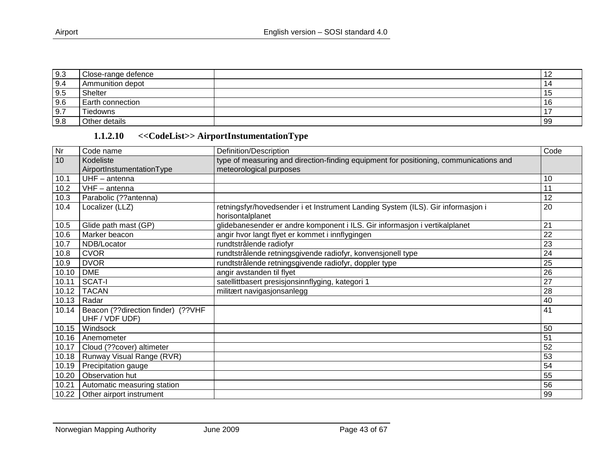| 9.3          | Close-range defence |     |
|--------------|---------------------|-----|
| 9.4          | Ammunition depot    | 14  |
| 9.5          | <b>Shelter</b>      |     |
| 9.6          | Earth connection    |     |
| $\sqrt{9.7}$ | Tiedowns            |     |
| 9.8          | Other details       | -99 |

# **1.1.2.10 <<CodeList>> AirportInstumentationType**

<span id="page-42-0"></span>

| Nr    | Code name                                            | Definition/Description                                                                              | Code            |
|-------|------------------------------------------------------|-----------------------------------------------------------------------------------------------------|-----------------|
| 10    | Kodeliste                                            | type of measuring and direction-finding equipment for positioning, communications and               |                 |
|       | AirportInstumentationType                            | meteorological purposes                                                                             |                 |
| 10.1  | $UHF - antenna$                                      |                                                                                                     | 10              |
| 10.2  | $VHF - antenna$                                      |                                                                                                     | 11              |
| 10.3  | Parabolic (??antenna)                                |                                                                                                     | 12              |
| 10.4  | Localizer (LLZ)                                      | retningsfyr/hovedsender i et Instrument Landing System (ILS). Gir informasjon i<br>horisontalplanet | 20              |
| 10.5  | Glide path mast (GP)                                 | glidebanesender er andre komponent i ILS. Gir informasjon i vertikalplanet                          | 21              |
| 10.6  | Marker beacon                                        | angir hvor langt flyet er kommet i innflygingen                                                     | 22              |
| 10.7  | NDB/Locator                                          | rundtstrålende radiofyr                                                                             | 23              |
| 10.8  | <b>CVOR</b>                                          | rundtstrålende retningsgivende radiofyr, konvensjonell type                                         | 24              |
| 10.9  | <b>DVOR</b>                                          | rundtstrålende retningsgivende radiofyr, doppler type                                               | 25              |
| 10.10 | <b>DME</b>                                           | angir avstanden til flyet                                                                           | 26              |
| 10.11 | SCAT-I                                               | satellittbasert presisjonsinnflyging, kategori 1                                                    | $\overline{27}$ |
| 10.12 | <b>TACAN</b>                                         | militært navigasjonsanlegg                                                                          | 28              |
| 10.13 | Radar                                                |                                                                                                     | 40              |
| 10.14 | Beacon (??direction finder) (??VHF<br>UHF / VDF UDF) |                                                                                                     | 41              |
| 10.15 | Windsock                                             |                                                                                                     | 50              |
| 10.16 | Anemometer                                           |                                                                                                     | 51              |
| 10.17 | Cloud (??cover) altimeter                            |                                                                                                     | 52              |
| 10.18 | Runway Visual Range (RVR)                            |                                                                                                     | 53              |
| 10.19 | Precipitation gauge                                  |                                                                                                     | 54              |
| 10.20 | Observation hut                                      |                                                                                                     | 55              |
| 10.21 | Automatic measuring station                          |                                                                                                     | 56              |
| 10.22 | Other airport instrument                             |                                                                                                     | 99              |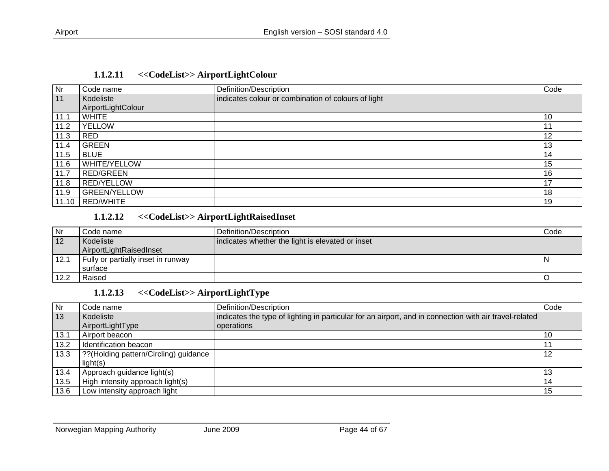| Nr   | Code name           | Definition/Description                              | Code |
|------|---------------------|-----------------------------------------------------|------|
| 11   | Kodeliste           | indicates colour or combination of colours of light |      |
|      | AirportLightColour  |                                                     |      |
| 11.1 | <b>WHITE</b>        |                                                     | 10   |
| 11.2 | <b>YELLOW</b>       |                                                     | 11   |
| 11.3 | RED                 |                                                     | 12   |
| 11.4 | <b>GREEN</b>        |                                                     | 13   |
| 11.5 | <b>BLUE</b>         |                                                     | 14   |
| 11.6 | <b>WHITE/YELLOW</b> |                                                     | 15   |
| 11.7 | <b>RED/GREEN</b>    |                                                     | 16   |
| 11.8 | <b>RED/YELLOW</b>   |                                                     | 17   |
| 11.9 | <b>GREEN/YELLOW</b> |                                                     | 18   |
|      | 11.10 RED/WHITE     |                                                     | 19   |

#### **1.1.2.11 <<CodeList>> AirportLightColour**

#### **1.1.2.12 <<CodeList>> AirportLightRaisedInset**

<span id="page-43-0"></span>

| l Nr | Code name                          | l Definition/Description_                        | Code |
|------|------------------------------------|--------------------------------------------------|------|
| 12   | Kodeliste                          | indicates whether the light is elevated or inset |      |
|      | AirportLightRaisedInset            |                                                  |      |
| 12.1 | Fully or partially inset in runway |                                                  |      |
|      | l surface                          |                                                  |      |
| 12.2 | Raised                             |                                                  |      |

#### **1.1.2.13 <<CodeList>> AirportLightType**

<span id="page-43-2"></span><span id="page-43-1"></span>

| Nr   | Code name                              | Definition/Description                                                                                 | Code |
|------|----------------------------------------|--------------------------------------------------------------------------------------------------------|------|
| 13   | Kodeliste                              | indicates the type of lighting in particular for an airport, and in connection with air travel-related |      |
|      | AirportLightType                       | operations                                                                                             |      |
| 13.1 | Airport beacon                         |                                                                                                        | 10   |
| 13.2 | Identification beacon                  |                                                                                                        |      |
| 13.3 | ?? (Holding pattern/Circling) guidance |                                                                                                        | 12   |
|      | light(s)                               |                                                                                                        |      |
| 13.4 | Approach guidance light(s)             |                                                                                                        | 13   |
| 13.5 | High intensity approach light(s)       |                                                                                                        | 14   |
| 13.6 | Low intensity approach light           |                                                                                                        | 15   |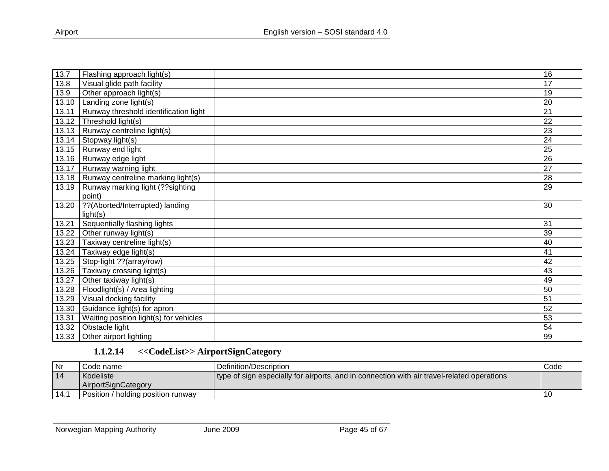| 13.7  | Flashing approach light(s)             | 16              |
|-------|----------------------------------------|-----------------|
| 13.8  | Visual glide path facility             | 17              |
| 13.9  | Other approach light(s)                | 19              |
| 13.10 | Landing zone light(s)                  | $\overline{20}$ |
| 13.11 | Runway threshold identification light  | 21              |
| 13.12 | Threshold light(s)                     | 22              |
| 13.13 | Runway centreline light(s)             | 23              |
| 13.14 | Stopway light(s)                       | 24              |
| 13.15 | Runway end light                       | 25              |
| 13.16 | Runway edge light                      | $\overline{26}$ |
| 13.17 | Runway warning light                   | 27              |
| 13.18 | Runway centreline marking light(s)     | 28              |
| 13.19 | Runway marking light (?? sighting      | $\overline{29}$ |
|       | point)                                 |                 |
| 13.20 | ??(Aborted/Interrupted) landing        | 30              |
|       | light(s)                               |                 |
| 13.21 | Sequentially flashing lights           | 31              |
| 13.22 | Other runway light(s)                  | 39              |
| 13.23 | Taxiway centreline light(s)            | 40              |
| 13.24 | Taxiway edge light(s)                  | 41              |
| 13.25 | Stop-light ?? (array/row)              | 42              |
| 13.26 | Taxiway crossing light(s)              | 43              |
| 13.27 | Other taxiway light(s)                 | 49              |
| 13.28 | Floodlight(s) / Area lighting          | 50              |
| 13.29 | Visual docking facility                | $\overline{51}$ |
| 13.30 | Guidance light(s) for apron            | 52              |
| 13.31 | Waiting position light(s) for vehicles | 53              |
| 13.32 | Obstacle light                         | 54              |
| 13.33 | Other airport lighting                 | 99              |

## **1.1.2.14 <<CodeList>> AirportSignCategory**

| <b>Nr</b> | Code name                          | l Definition/Description                                                                   | Code |
|-----------|------------------------------------|--------------------------------------------------------------------------------------------|------|
| -14       | Kodeliste                          | type of sign especially for airports, and in connection with air travel-related operations |      |
|           | AirportSianCategory                |                                                                                            |      |
|           | Position / holding position runway |                                                                                            |      |

<span id="page-44-0"></span>Norwegian Mapping Authority **June 2009 Page 45 of 67**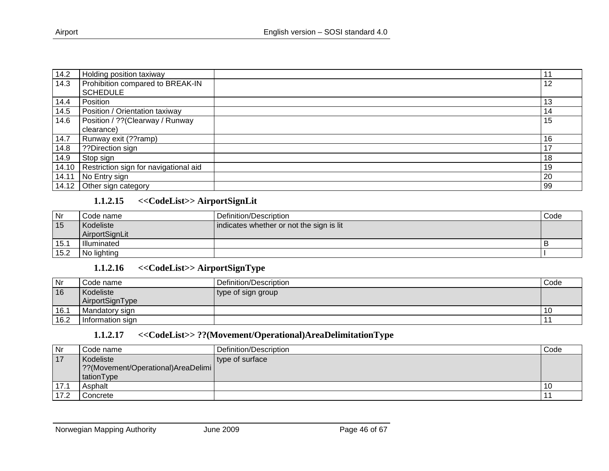| 14.2  | Holding position taxiway                    |    |
|-------|---------------------------------------------|----|
| 14.3  | Prohibition compared to BREAK-IN            | 12 |
|       | <b>SCHEDULE</b>                             |    |
| 14.4  | Position                                    | 13 |
| 14.5  | Position / Orientation taxiway              | 14 |
| 14.6  | Position / ?? (Clearway / Runway            | 15 |
|       | clearance)                                  |    |
| 14.7  | Runway exit (??ramp)                        | 16 |
| 14.8  | ??Direction sign                            | ៲, |
| 14.9  | Stop sign                                   | 18 |
|       | 14.10 Restriction sign for navigational aid | 19 |
| 14.11 | No Entry sign                               | 20 |
|       | 14.12 Other sign category                   | 99 |

#### **1.1.2.15 <<CodeList>> AirportSignLit**

| Nr   | l Code name        | Definition/Description                   | Code |
|------|--------------------|------------------------------------------|------|
| 15   | Kodeliste          | indicates whether or not the sign is lit |      |
|      | AirportSignLit     |                                          |      |
| 15.7 | <b>Illuminated</b> |                                          |      |
| 15.2 | No lighting        |                                          |      |

#### **1.1.2.16 <<CodeList>> AirportSignType**

| Nr   | Code name        | Definition/Description | Code |
|------|------------------|------------------------|------|
| 16   | Kodeliste        | type of sign group     |      |
|      | AirportSignType  |                        |      |
| 16.1 | Mandatory sign   |                        | -16  |
| 16.2 | Information sign |                        |      |

#### **1.1.2.17 <<CodeList>> ??(Movement/Operational)AreaDelimitationType**

<span id="page-45-2"></span><span id="page-45-1"></span><span id="page-45-0"></span>

| Nr   | Code name                          | Definition/Description | Code |
|------|------------------------------------|------------------------|------|
| 17   | Kodeliste                          | type of surface        |      |
|      | ??(Movement/Operational)AreaDelimi |                        |      |
|      | tationType                         |                        |      |
| 17.1 | Asphalt                            |                        |      |
| 17.2 | Concrete                           |                        |      |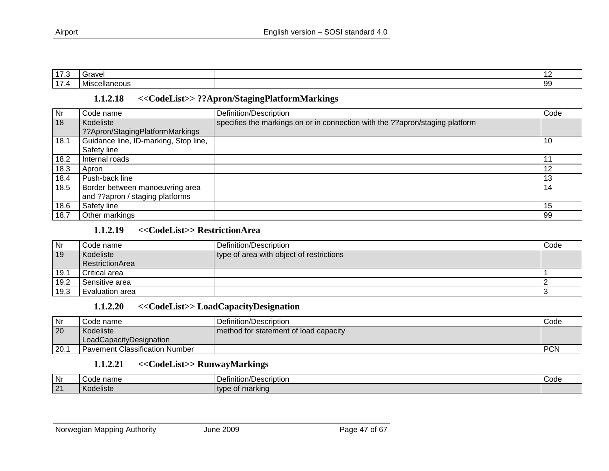| $\rightarrow$<br>. | Grave'                                    | . .<br>$\sim$ |
|--------------------|-------------------------------------------|---------------|
| $\sim$             | .<br>.<br>Vliscellaneous<br><b>IVIISC</b> | 99            |

#### **1.1.2.18 <<CodeList>> ??Apron/StagingPlatformMarkings**

| Nr   | Code name                             | Definition/Description                                                       | Code |
|------|---------------------------------------|------------------------------------------------------------------------------|------|
| 18   | Kodeliste                             | specifies the markings on or in connection with the ??apron/staging platform |      |
|      | ??Apron/StagingPlatformMarkings       |                                                                              |      |
| 18.1 | Guidance line, ID-marking, Stop line, |                                                                              | 10   |
|      | Safety line                           |                                                                              |      |
| 18.2 | Internal roads                        |                                                                              |      |
| 18.3 | Apron                                 |                                                                              | 12   |
| 18.4 | Push-back line                        |                                                                              | 13   |
| 18.5 | Border between manoeuvring area       |                                                                              | 14   |
|      | and ??apron / staging platforms       |                                                                              |      |
| 18.6 | Safety line                           |                                                                              | 15   |
| 18.7 | Other markings                        |                                                                              | 99   |

#### **1.1.2.19 <<CodeList>> RestrictionArea**

<span id="page-46-0"></span>

| <b>Nr</b> | Code name       | l Definition/Description_                | Code |
|-----------|-----------------|------------------------------------------|------|
| 19        | Kodeliste       | type of area with object of restrictions |      |
|           | RestrictionArea |                                          |      |
| 19.1      | Critical area   |                                          |      |
| 19.2      | Sensitive area  |                                          |      |
| 19.3      | Evaluation area |                                          |      |

#### **1.1.2.20 <<CodeList>> LoadCapacityDesignation**

| Nr   | Code name                        | Definition/Description                | Code       |
|------|----------------------------------|---------------------------------------|------------|
| 20   | Kodeliste                        | method for statement of load capacity |            |
|      | LoadCapacityDesignation          |                                       |            |
| 20.7 | I Pavement Classification Number |                                       | <b>PCN</b> |

#### **1.1.2.21 <<CodeList>> RunwayMarkings**

<span id="page-46-3"></span><span id="page-46-2"></span><span id="page-46-1"></span>

| Nr                    | name<br>$\sim$ $\sim$ $\sim$<br>. | 'Jefinition/Description | Code |
|-----------------------|-----------------------------------|-------------------------|------|
| $\sqrt{21}$<br>$\sim$ | Kodeliste                         | marking<br>tvbe         |      |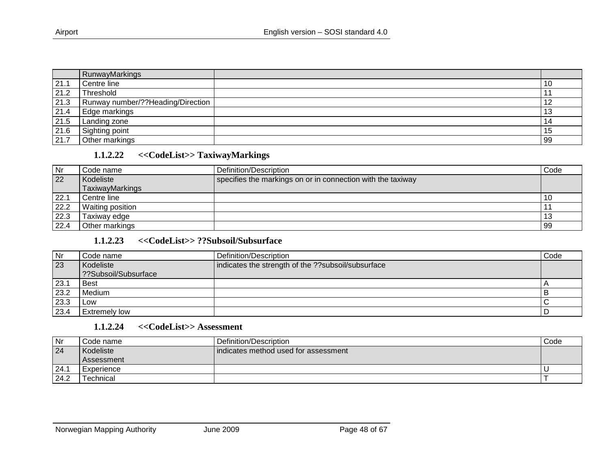|      | RunwayMarkings                    |     |
|------|-----------------------------------|-----|
| 21.1 | Centre line                       | -10 |
| 21.2 | Threshold                         |     |
| 21.3 | Runway number/??Heading/Direction | ⅂∠  |
| 21.4 | Edge markings                     | IJ  |
| 21.5 | Landing zone                      | 14  |
| 21.6 | Sighting point                    | 15  |
| 21.7 | Other markings                    | 99  |

#### **1.1.2.22 <<CodeList>> TaxiwayMarkings**

| <b>Nr</b> | Code name                    | Definition/Description                                      | Code |
|-----------|------------------------------|-------------------------------------------------------------|------|
| 22        | Kodeliste<br>TaxiwayMarkings | specifies the markings on or in connection with the taxiway |      |
| 22.1      | Centre line                  |                                                             |      |
| 22.2      | <b>Waiting position</b>      |                                                             |      |
| 22.3      | Taxiway edge                 |                                                             | 13   |
| 22.4      | Other markings               |                                                             | 99   |

#### **1.1.2.23 <<CodeList>> ??Subsoil/Subsurface**

<span id="page-47-0"></span>

| Nr   | Code name            | Definition/Description                              | Code |
|------|----------------------|-----------------------------------------------------|------|
| 23   | Kodeliste            | indicates the strength of the ?? subsoil/subsurface |      |
|      | ??Subsoil/Subsurface |                                                     |      |
| 23.1 | <b>Best</b>          |                                                     |      |
| 23.2 | Medium               |                                                     |      |
| 23.3 | Low                  |                                                     |      |
| 23.4 | Extremely low        |                                                     |      |

#### **1.1.2.24 <<CodeList>> Assessment**

<span id="page-47-2"></span><span id="page-47-1"></span>

| Nr   | l Code name       | Definition/Description               | Code |
|------|-------------------|--------------------------------------|------|
| 24   | Kodeliste         | indicates method used for assessment |      |
|      | <b>Assessment</b> |                                      |      |
| 24.1 | l Experience      |                                      |      |
| 24.2 | Technical         |                                      |      |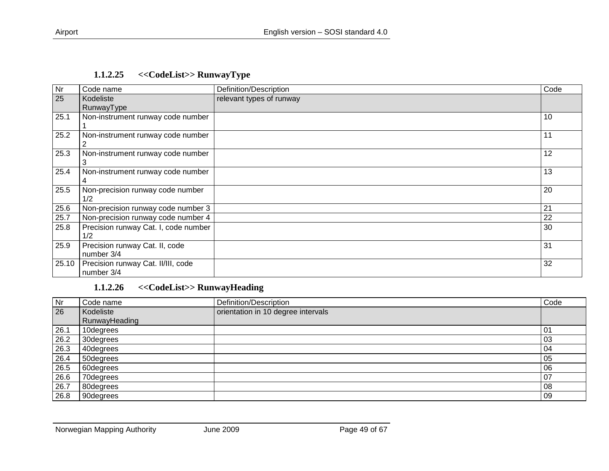|  | 1.1.2.25 |  |  | < <codelist>&gt; RunwayType</codelist> |  |  |  |
|--|----------|--|--|----------------------------------------|--|--|--|
|--|----------|--|--|----------------------------------------|--|--|--|

| Nr    | Code name                                        | Definition/Description   | Code |
|-------|--------------------------------------------------|--------------------------|------|
| 25    | Kodeliste<br>RunwayType                          | relevant types of runway |      |
| 25.1  | Non-instrument runway code number                |                          | 10   |
| 25.2  | Non-instrument runway code number                |                          | 11   |
| 25.3  | Non-instrument runway code number                |                          | 12   |
| 25.4  | Non-instrument runway code number                |                          | 13   |
| 25.5  | Non-precision runway code number<br>1/2          |                          | 20   |
| 25.6  | Non-precision runway code number 3               |                          | 21   |
| 25.7  | Non-precision runway code number 4               |                          | 22   |
| 25.8  | Precision runway Cat. I, code number<br>1/2      |                          | 30   |
| 25.9  | Precision runway Cat. II, code<br>number 3/4     |                          | 31   |
| 25.10 | Precision runway Cat. II/III, code<br>number 3/4 |                          | 32   |

# <span id="page-48-0"></span>**1.1.2.26 <<CodeList>> RunwayHeading**

<span id="page-48-1"></span>

| Nr   | Code name     | Definition/Description             | Code |
|------|---------------|------------------------------------|------|
| 26   | Kodeliste     | orientation in 10 degree intervals |      |
|      | RunwayHeading |                                    |      |
| 26.1 | 10degrees     |                                    | 01   |
| 26.2 | 30degrees     |                                    | 03   |
| 26.3 | 40degrees     |                                    | 04   |
| 26.4 | 50degrees     |                                    | 05   |
| 26.5 | 60degrees     |                                    | 06   |
| 26.6 | 70degrees     |                                    | 07   |
| 26.7 | 80degrees     |                                    | 08   |
| 26.8 | 90degrees     |                                    | 09   |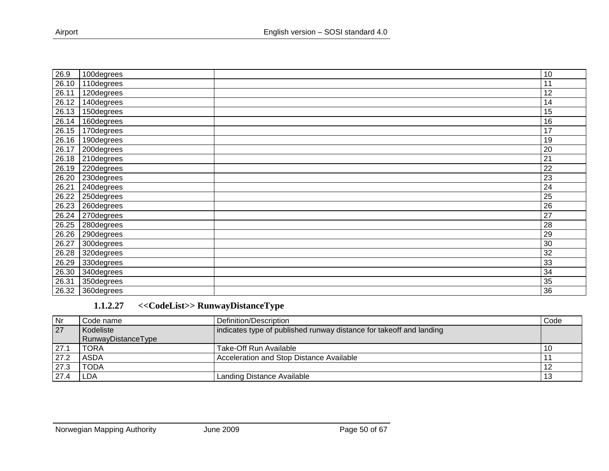| 26.9  | 100degrees        | 10 |
|-------|-------------------|----|
| 26.10 | 110degrees        | 11 |
| 26.11 | 120degrees        | 12 |
| 26.12 | 140degrees        | 14 |
| 26.13 | 150degrees        | 15 |
| 26.14 | 160degrees        | 16 |
| 26.15 | 170degrees        | 17 |
| 26.16 | 190degrees        | 19 |
| 26.17 | 200degrees        | 20 |
| 26.18 | 210degrees        | 21 |
| 26.19 | 220degrees        | 22 |
| 26.20 | 230degrees        | 23 |
| 26.21 | 240degrees        | 24 |
| 26.22 | 250degrees        | 25 |
| 26.23 | 260degrees        | 26 |
| 26.24 | 270degrees        | 27 |
| 26.25 | 280degrees        | 28 |
| 26.26 | 290degrees        | 29 |
| 26.27 | 300degrees        | 30 |
| 26.28 | 320degrees        | 32 |
| 26.29 | 330degrees        | 33 |
| 26.30 | 340degrees        | 34 |
| 26.31 | 350degrees        | 35 |
|       | 26.32 360 degrees | 36 |

# **1.1.2.27 <<CodeList>> RunwayDistanceType**

<span id="page-49-0"></span>

| Nr   | Code name          | Definition/Description                                              | Code |
|------|--------------------|---------------------------------------------------------------------|------|
| 27   | Kodeliste          | indicates type of published runway distance for takeoff and landing |      |
|      | RunwayDistanceType |                                                                     |      |
| 27.1 | TORA               | Take-Off Run Available                                              |      |
| 27.2 | ASDA               | Acceleration and Stop Distance Available                            |      |
| 27.3 | TODA               |                                                                     |      |
| 27.4 | LDA.               | Landing Distance Available                                          |      |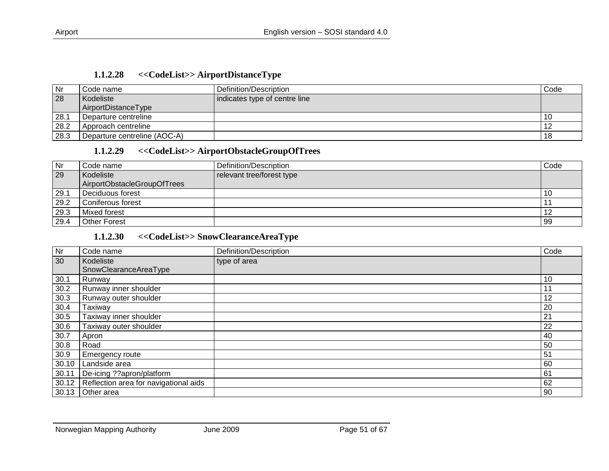| 1.1.2.28 |  | < <codelist>&gt;AirportDistanceType</codelist> |
|----------|--|------------------------------------------------|
|----------|--|------------------------------------------------|

| Nr   | Code name                    | Definition/Description        | Code |
|------|------------------------------|-------------------------------|------|
| 28   | Kodeliste                    | indicates type of centre line |      |
|      | AirportDistanceType          |                               |      |
| 28.1 | Departure centreline         |                               | 10   |
| 28.2 | Approach centreline          |                               |      |
| 28.3 | Departure centreline (AOC-A) |                               | 18   |

#### **1.1.2.29 <<CodeList>> AirportObstacleGroupOfTrees**

| <b>Nr</b> | Code name                   | Definition/Description    | Code |
|-----------|-----------------------------|---------------------------|------|
| 29        | Kodeliste                   | relevant tree/forest type |      |
|           | AirportObstacleGroupOfTrees |                           |      |
| 29.1      | Deciduous forest            |                           | 10   |
| 29.2      | Coniferous forest           |                           |      |
| 29.3      | Mixed forest                |                           |      |
| 29.4      | <b>Other Forest</b>         |                           | 99   |

## **1.1.2.30 <<CodeList>> SnowClearanceAreaType**

<span id="page-50-2"></span><span id="page-50-1"></span><span id="page-50-0"></span>

| Nr    | Code name                             | Definition/Description | Code |
|-------|---------------------------------------|------------------------|------|
| 30    | Kodeliste                             | type of area           |      |
|       | SnowClearanceAreaType                 |                        |      |
| 30.1  | Runway                                |                        | 10   |
| 30.2  | Runway inner shoulder                 |                        |      |
| 30.3  | Runway outer shoulder                 |                        | 12   |
| 30.4  | Taxiway                               |                        | 20   |
| 30.5  | Taxiway inner shoulder                |                        | 21   |
| 30.6  | Taxiway outer shoulder                |                        | 22   |
| 30.7  | Apron                                 |                        | 40   |
| 30.8  | Road                                  |                        | 50   |
| 30.9  | Emergency route                       |                        | 51   |
| 30.10 | Landside area                         |                        | 60   |
| 30.11 | De-icing ??apron/platform             |                        | 61   |
| 30.12 | Reflection area for navigational aids |                        | 62   |
| 30.13 | Other area                            |                        | 90   |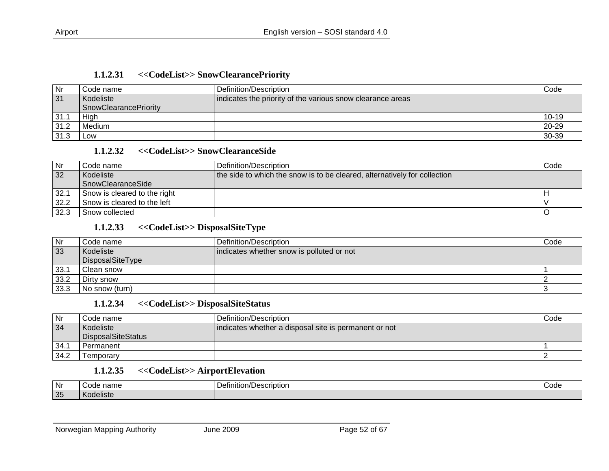| 1.1.2.31<br>< <codelist>&gt; SnowClearancePriority</codelist> |  |
|---------------------------------------------------------------|--|
|---------------------------------------------------------------|--|

| Nr   | Code name             | Definition/Description                                     | Code      |
|------|-----------------------|------------------------------------------------------------|-----------|
| 31   | Kodeliste             | indicates the priority of the various snow clearance areas |           |
|      | SnowClearancePriority |                                                            |           |
| 31.1 | Hiah                  |                                                            | $10 - 19$ |
| 31.2 | Medium                |                                                            | 20-29     |
| 31.3 | LOW                   |                                                            | $30-39$   |

#### **1.1.2.32 <<CodeList>> SnowClearanceSide**

| Nr   | Code name                    | Definition/Description                                                    | Code |
|------|------------------------------|---------------------------------------------------------------------------|------|
| 32   | Kodeliste                    | the side to which the snow is to be cleared, alternatively for collection |      |
|      | <b>SnowClearanceSide</b>     |                                                                           |      |
| 32.1 | Snow is cleared to the right |                                                                           |      |
| 32.2 | Snow is cleared to the left  |                                                                           |      |
| 32.3 | Snow collected               |                                                                           |      |

#### **1.1.2.33 <<CodeList>> DisposalSiteType**

<span id="page-51-0"></span>

| Nr   | Code name        | Definition/Description                    | Code |
|------|------------------|-------------------------------------------|------|
| 33   | Kodeliste        | indicates whether snow is polluted or not |      |
|      | DisposalSiteType |                                           |      |
| 33.1 | Clean snow       |                                           |      |
| 33.2 | Dirty snow       |                                           |      |
| 33.3 | No snow (turn)   |                                           |      |

#### **1.1.2.34 <<CodeList>> DisposalSiteStatus**

<span id="page-51-1"></span>

| Nr   | Code name          | Definition/Description                                | Code |
|------|--------------------|-------------------------------------------------------|------|
| 34   | Kodeliste          | indicates whether a disposal site is permanent or not |      |
|      | DisposalSiteStatus |                                                       |      |
| 34.1 | Permanent          |                                                       |      |
| 34.2 | Temporarv          |                                                       |      |

#### **1.1.2.35 <<CodeList>> AirportElevation**

<span id="page-51-4"></span><span id="page-51-3"></span><span id="page-51-2"></span>

| Nr | name<br>Code                                           | Definition/L<br><b>Joecription</b><br>, Description | ''^^'<br>vuut |
|----|--------------------------------------------------------|-----------------------------------------------------|---------------|
| 35 | $\cdots$<br>$\overline{\phantom{a}}$<br><b>Peliste</b> |                                                     |               |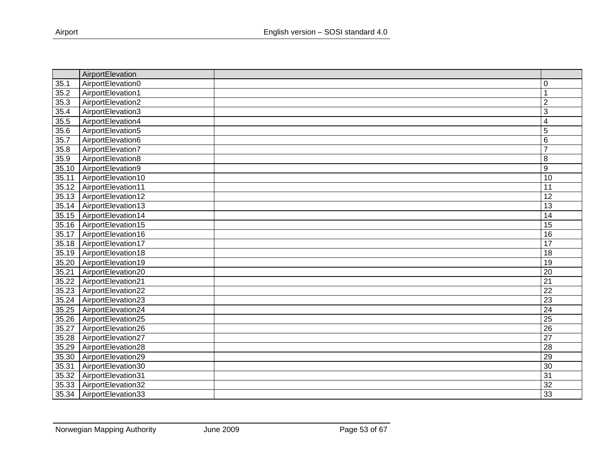|       | AirportElevation   |                         |
|-------|--------------------|-------------------------|
| 35.1  | AirportElevation0  | 0                       |
| 35.2  | AirportElevation1  |                         |
| 35.3  | AirportElevation2  | $\overline{2}$          |
| 35.4  | AirportElevation3  | 3                       |
| 35.5  | AirportElevation4  | $\overline{\mathbf{4}}$ |
| 35.6  | AirportElevation5  | 5                       |
| 35.7  | AirportElevation6  | 6                       |
| 35.8  | AirportElevation7  | $\overline{7}$          |
| 35.9  | AirportElevation8  | 8                       |
| 35.10 | AirportElevation9  | 9                       |
| 35.11 | AirportElevation10 | 10                      |
| 35.12 | AirportElevation11 | 11                      |
| 35.13 | AirportElevation12 | 12                      |
| 35.14 | AirportElevation13 | 13                      |
| 35.15 | AirportElevation14 | $\overline{14}$         |
| 35.16 | AirportElevation15 | 15                      |
| 35.17 | AirportElevation16 | 16                      |
| 35.18 | AirportElevation17 | 17                      |
| 35.19 | AirportElevation18 | 18                      |
| 35.20 | AirportElevation19 | 19                      |
| 35.21 | AirportElevation20 | 20                      |
| 35.22 | AirportElevation21 | $\overline{21}$         |
| 35.23 | AirportElevation22 | $\overline{22}$         |
| 35.24 | AirportElevation23 | 23                      |
| 35.25 | AirportElevation24 | $\overline{24}$         |
| 35.26 | AirportElevation25 | $\overline{25}$         |
| 35.27 | AirportElevation26 | $\overline{26}$         |
| 35.28 | AirportElevation27 | $\overline{27}$         |
| 35.29 | AirportElevation28 | $\overline{28}$         |
| 35.30 | AirportElevation29 | 29                      |
| 35.31 | AirportElevation30 | 30                      |
| 35.32 | AirportElevation31 | $\overline{31}$         |
| 35.33 | AirportElevation32 | $\overline{32}$         |
| 35.34 | AirportElevation33 | 33                      |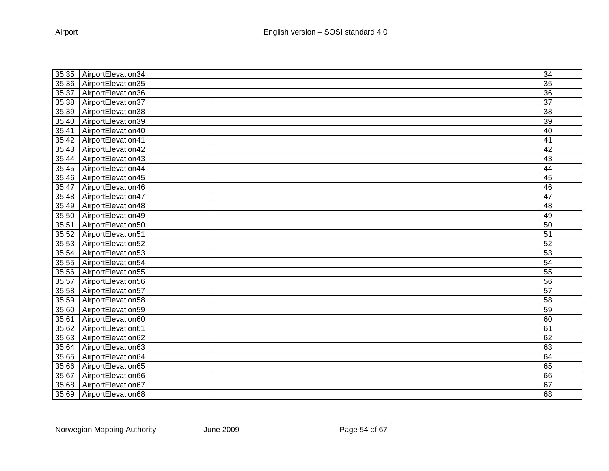| 35.35 | AirportElevation34         | $\overline{34}$ |
|-------|----------------------------|-----------------|
| 35.36 | AirportElevation35         | 35              |
| 35.37 | AirportElevation36         | 36              |
| 35.38 | AirportElevation37         | $\overline{37}$ |
| 35.39 | AirportElevation38         | 38              |
| 35.40 | AirportElevation39         | 39              |
| 35.41 | AirportElevation40         | 40              |
| 35.42 | AirportElevation41         | 41              |
| 35.43 | AirportElevation42         | 42              |
| 35.44 | AirportElevation43         | $\overline{43}$ |
| 35.45 | AirportElevation44         | 44              |
| 35.46 | AirportElevation45         | 45              |
| 35.47 | AirportElevation46         | 46              |
| 35.48 | AirportElevation47         | 47              |
|       | 35.49   AirportElevation48 | $\overline{48}$ |
| 35.50 | AirportElevation49         | 49              |
| 35.51 | AirportElevation50         | 50              |
| 35.52 | AirportElevation51         | 51              |
| 35.53 | AirportElevation52         | 52              |
| 35.54 | AirportElevation53         | 53              |
| 35.55 | AirportElevation54         | $\overline{54}$ |
|       | 35.56 AirportElevation55   | $\overline{55}$ |
| 35.57 | AirportElevation56         | 56              |
| 35.58 | AirportElevation57         | $\overline{57}$ |
| 35.59 | AirportElevation58         | 58              |
| 35.60 | AirportElevation59         | 59              |
| 35.61 | AirportElevation60         | 60              |
| 35.62 | AirportElevation61         | 61              |
| 35.63 | AirportElevation62         | 62              |
| 35.64 | AirportElevation63         | 63              |
| 35.65 | AirportElevation64         | 64              |
| 35.66 | AirportElevation65         | 65              |
| 35.67 | AirportElevation66         | 66              |
| 35.68 | AirportElevation67         | 67              |
| 35.69 | AirportElevation68         | 68              |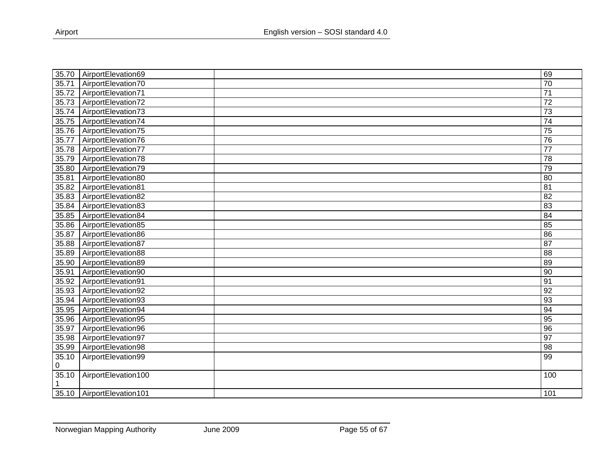| 35.70 | AirportElevation69        | 69              |
|-------|---------------------------|-----------------|
| 35.71 | AirportElevation70        | 70              |
| 35.72 | AirportElevation71        | $\overline{71}$ |
| 35.73 | AirportElevation72        | $\overline{72}$ |
| 35.74 | AirportElevation73        | 73              |
| 35.75 | AirportElevation74        | $\overline{74}$ |
| 35.76 | AirportElevation75        | $\overline{75}$ |
| 35.77 | AirportElevation76        | 76              |
| 35.78 | AirportElevation77        | $\overline{77}$ |
| 35.79 | AirportElevation78        | 78              |
| 35.80 | AirportElevation79        | 79              |
| 35.81 | AirportElevation80        | 80              |
| 35.82 | AirportElevation81        | $\overline{81}$ |
| 35.83 | AirportElevation82        | $\overline{82}$ |
| 35.84 | AirportElevation83        | 83              |
| 35.85 | AirportElevation84        | 84              |
| 35.86 | AirportElevation85        | 85              |
| 35.87 | AirportElevation86        | 86              |
| 35.88 | AirportElevation87        | 87              |
| 35.89 | AirportElevation88        | 88              |
| 35.90 | AirportElevation89        | 89              |
| 35.91 | AirportElevation90        | 90              |
| 35.92 | AirportElevation91        | 91              |
| 35.93 | AirportElevation92        | 92              |
| 35.94 | AirportElevation93        | 93              |
| 35.95 | AirportElevation94        | 94              |
| 35.96 | AirportElevation95        | 95              |
| 35.97 | AirportElevation96        | $\overline{96}$ |
| 35.98 | AirportElevation97        | 97              |
| 35.99 | AirportElevation98        | 98              |
| 35.10 | AirportElevation99        | 99              |
| 0     |                           |                 |
| 35.10 | AirportElevation100       | 100             |
|       |                           |                 |
|       | 35.10 AirportElevation101 | 101             |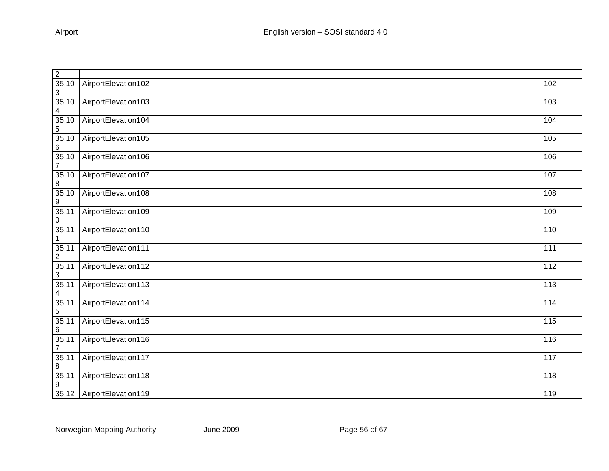| $\overline{2}$          |                             |                                   |                   |
|-------------------------|-----------------------------|-----------------------------------|-------------------|
| 35.10<br>$\sqrt{3}$     | AirportElevation102         |                                   | 102               |
| 35.10<br>4              | AirportElevation103         |                                   | 103               |
| 35.10<br>$\mathbf 5$    | AirportElevation104         |                                   | 104               |
| 35.10<br>6              | AirportElevation105         |                                   | 105               |
| 35.10<br>$\overline{7}$ | AirportElevation106         |                                   | 106               |
| 35.10<br>8              | AirportElevation107         |                                   | 107               |
| 35.10<br>9              | AirportElevation108         |                                   | 108               |
| 35.11<br>0              | AirportElevation109         |                                   | 109               |
| 35.11<br>1              | AirportElevation110         |                                   | 110               |
| 35.11<br>$\overline{c}$ | AirportElevation111         |                                   | 111               |
| 35.11<br>3              | AirportElevation112         |                                   | $\frac{11}{2}$    |
| 35.11<br>4              | AirportElevation113         |                                   | $\frac{113}{113}$ |
| 35.11<br>5              | AirportElevation114         |                                   | $\frac{114}{114}$ |
| 35.11<br>6              | AirportElevation115         |                                   | 115               |
| 35.11<br>7              | AirportElevation116         |                                   | $\frac{116}{116}$ |
| 35.11<br>8              | AirportElevation117         |                                   | $\frac{117}{117}$ |
| 35.11<br>9              | AirportElevation118         |                                   | 118               |
| 35.12                   | AirportElevation119         |                                   | 119               |
|                         | Norwegian Mapping Authority | <b>June 2009</b><br>Page 56 of 67 |                   |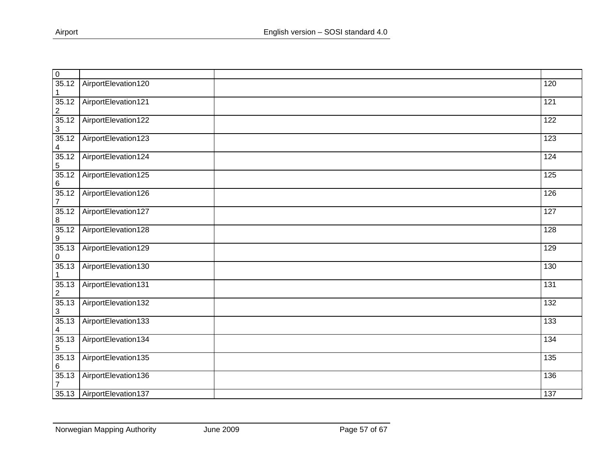| $\pmb{0}$                 |                     |                  |
|---------------------------|---------------------|------------------|
| 35.12<br>1                | AirportElevation120 | 120              |
| 35.12<br>$\overline{2}$   | AirportElevation121 | 121              |
| 35.12<br>3                | AirportElevation122 | 122              |
| 35.12<br>4                | AirportElevation123 | 123              |
| 35.12<br>5                | AirportElevation124 | 124              |
| 35.12<br>6                | AirportElevation125 | 125              |
| 35.12<br>$\overline{7}$   | AirportElevation126 | 126              |
| 35.12<br>8                | AirportElevation127 | $\overline{127}$ |
| 35.12<br>$\boldsymbol{9}$ | AirportElevation128 | 128              |
| 35.13<br>0                | AirportElevation129 | 129              |
| 35.13<br>1                | AirportElevation130 | 130              |
| 35.13<br>$\overline{2}$   | AirportElevation131 | 131              |
| 35.13<br>3                | AirportElevation132 | $\frac{132}{ }$  |
| 35.13<br>4                | AirportElevation133 | 133              |
| 35.13<br>5                | AirportElevation134 | $\frac{1}{134}$  |
| 35.13<br>6                | AirportElevation135 | 135              |
| 35.13<br>7                | AirportElevation136 | 136              |
|                           | AirportElevation137 | $\overline{137}$ |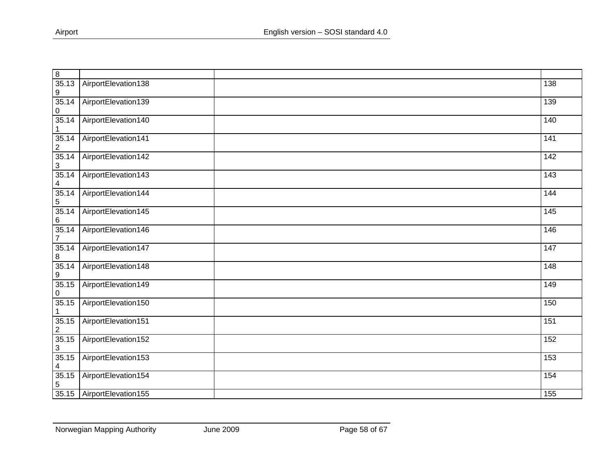| $\,8\,$                          |                     |                   |
|----------------------------------|---------------------|-------------------|
| 35.13<br>9                       | AirportElevation138 | 138               |
| 35.14<br>0                       | AirportElevation139 | 139               |
| 35.14<br>1                       | AirportElevation140 | 140               |
| 35.14<br>$\overline{\mathbf{c}}$ | AirportElevation141 | 141               |
| 35.14<br>3                       | AirportElevation142 | 142               |
| 35.14<br>4                       | AirportElevation143 | $\overline{143}$  |
| 35.14<br>$\sqrt{5}$              | AirportElevation144 | 144               |
| 35.14<br>6                       | AirportElevation145 | 145               |
| 35.14<br>$\overline{7}$          | AirportElevation146 | 146               |
| 35.14<br>8                       | AirportElevation147 | $\frac{147}{147}$ |
| 35.14<br>9                       | AirportElevation148 | 148               |
| 35.15<br>0                       | AirportElevation149 | 149               |
| 35.15                            | AirportElevation150 | 150               |
| 35.15<br>2                       | AirportElevation151 | 151               |
| 35.15<br>3                       | AirportElevation152 | 152               |
| 35.15<br>4                       | AirportElevation153 | 153               |
| 35.15<br>5                       | AirportElevation154 | $\overline{154}$  |
| 35.15                            | AirportElevation155 | 155               |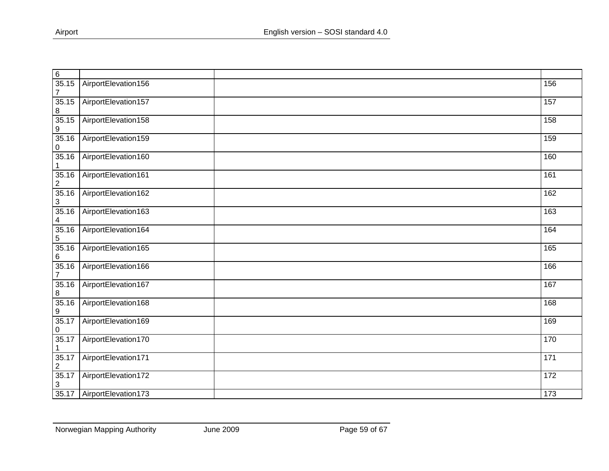| 6                       |                     |                 |
|-------------------------|---------------------|-----------------|
| 35.15<br>$\overline{7}$ | AirportElevation156 | 156             |
| 35.15<br>8              | AirportElevation157 | 157             |
| 35.15<br>9              | AirportElevation158 | 158             |
| 35.16<br>0              | AirportElevation159 | 159             |
| 35.16                   | AirportElevation160 | 160             |
| 35.16<br>2              | AirportElevation161 | 161             |
| 35.16<br>3              | AirportElevation162 | 162             |
| 35.16<br>4              | AirportElevation163 | 163             |
| 35.16<br>5              | AirportElevation164 | 164             |
| 35.16<br>6              | AirportElevation165 | 165             |
| 35.16<br>$\overline{7}$ | AirportElevation166 | 166             |
| 35.16<br>8              | AirportElevation167 | 167             |
| 35.16<br>9              | AirportElevation168 | 168             |
| 35.17<br>0              | AirportElevation169 | 169             |
| 35.17<br>1              | AirportElevation170 | 170             |
| 35.17<br>$\overline{2}$ | AirportElevation171 | 171             |
| 35.17<br>3              | AirportElevation172 | $\frac{1}{172}$ |
| 35.17                   | AirportElevation173 | 173             |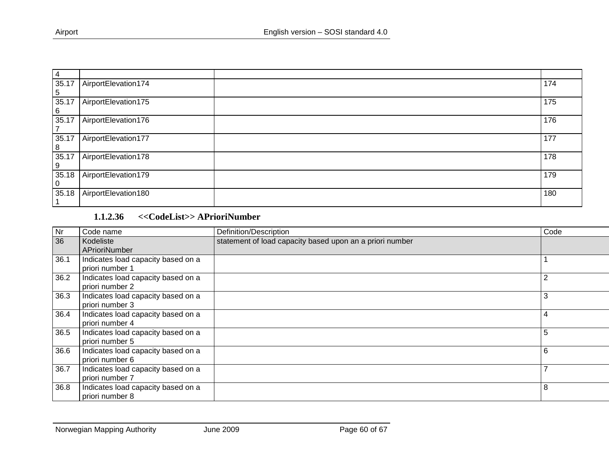| $\overline{4}$ |                     |     |
|----------------|---------------------|-----|
| 35.17          | AirportElevation174 | 174 |
| 5              |                     |     |
| 35.17          | AirportElevation175 | 175 |
| <b>6</b>       |                     |     |
| 35.17          | AirportElevation176 | 176 |
|                |                     |     |
| 35.17          | AirportElevation177 | 177 |
| 8              |                     |     |
| 35.17          | AirportElevation178 | 178 |
| -9             |                     |     |
| 35.18          | AirportElevation179 | 179 |
| -0             |                     |     |
| 35.18          | AirportElevation180 | 180 |
|                |                     |     |

## **1.1.2.36 <<CodeList>> APrioriNumber**

<span id="page-59-0"></span>

| Nr   | Code name                          | Definition/Description                                   | Code |
|------|------------------------------------|----------------------------------------------------------|------|
| 36   | Kodeliste                          | statement of load capacity based upon an a priori number |      |
|      | APrioriNumber                      |                                                          |      |
| 36.1 | Indicates load capacity based on a |                                                          |      |
|      | priori number 1                    |                                                          |      |
| 36.2 | Indicates load capacity based on a |                                                          |      |
|      | priori number 2                    |                                                          |      |
| 36.3 | Indicates load capacity based on a |                                                          | 3    |
|      | priori number 3                    |                                                          |      |
| 36.4 | Indicates load capacity based on a |                                                          | 4    |
|      | priori number 4                    |                                                          |      |
| 36.5 | Indicates load capacity based on a |                                                          | 5    |
|      | priori number 5                    |                                                          |      |
| 36.6 | Indicates load capacity based on a |                                                          | 6    |
|      | priori number 6                    |                                                          |      |
| 36.7 | Indicates load capacity based on a |                                                          |      |
|      | priori number 7                    |                                                          |      |
| 36.8 | Indicates load capacity based on a |                                                          | 8    |
|      | priori number 8                    |                                                          |      |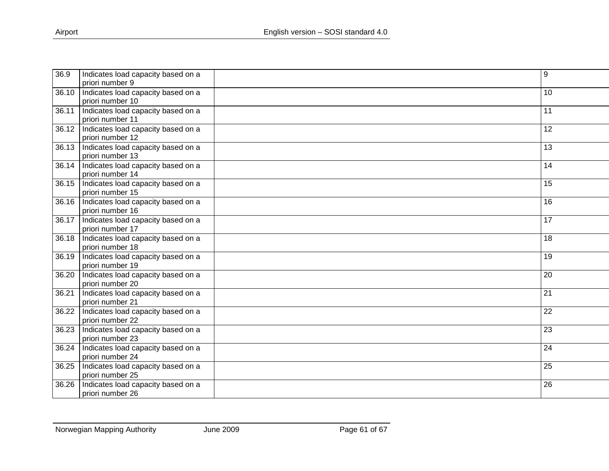| 36.9  | Indicates load capacity based on a                     | 9               |
|-------|--------------------------------------------------------|-----------------|
|       | priori number 9                                        |                 |
| 36.10 | Indicates load capacity based on a<br>priori number 10 | 10              |
| 36.11 | Indicates load capacity based on a                     | 11              |
|       | priori number 11                                       |                 |
| 36.12 | Indicates load capacity based on a                     | 12              |
|       | priori number 12                                       |                 |
|       | 36.13   Indicates load capacity based on a             | 13              |
|       | priori number 13                                       |                 |
|       | 36.14   Indicates load capacity based on a             | 14              |
|       | priori number 14                                       |                 |
|       | 36.15   Indicates load capacity based on a             | 15              |
|       | priori number 15                                       |                 |
| 36.16 | Indicates load capacity based on a                     | 16              |
|       | priori number 16                                       |                 |
| 36.17 | Indicates load capacity based on a                     | 17              |
|       | priori number 17                                       |                 |
|       | 36.18   Indicates load capacity based on a             | 18              |
|       | priori number 18                                       |                 |
| 36.19 | Indicates load capacity based on a                     | 19              |
|       | priori number 19                                       |                 |
| 36.20 | Indicates load capacity based on a                     | 20              |
|       | priori number 20                                       |                 |
| 36.21 | Indicates load capacity based on a                     | $\overline{21}$ |
|       | priori number 21                                       |                 |
| 36.22 | Indicates load capacity based on a                     | 22              |
|       | priori number 22                                       |                 |
| 36.23 | Indicates load capacity based on a                     | 23              |
|       | priori number 23                                       |                 |
| 36.24 | Indicates load capacity based on a                     | 24              |
|       | priori number 24                                       |                 |
| 36.25 | Indicates load capacity based on a                     | $\overline{25}$ |
|       | priori number 25                                       |                 |
| 36.26 | Indicates load capacity based on a                     | 26              |
|       | priori number 26                                       |                 |
|       |                                                        |                 |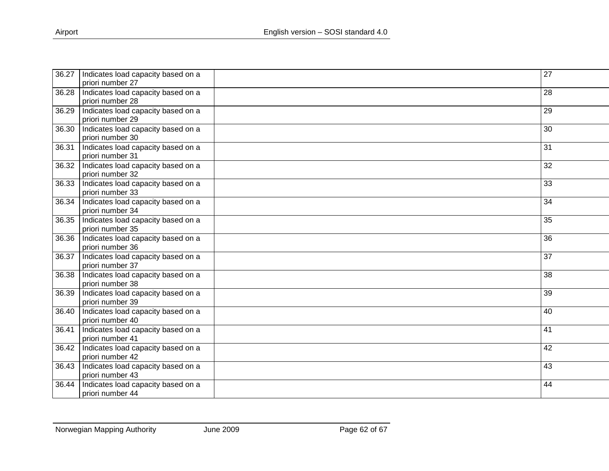| 36.27 | Indicates load capacity based on a | $\overline{27}$ |
|-------|------------------------------------|-----------------|
|       | priori number 27                   |                 |
| 36.28 | Indicates load capacity based on a | 28              |
|       | priori number 28                   |                 |
| 36.29 | Indicates load capacity based on a | 29              |
|       | priori number 29                   |                 |
| 36.30 | Indicates load capacity based on a | 30              |
|       | priori number 30                   |                 |
| 36.31 | Indicates load capacity based on a | 31              |
|       | priori number 31                   |                 |
| 36.32 | Indicates load capacity based on a | 32              |
|       | priori number 32                   |                 |
| 36.33 | Indicates load capacity based on a | 33              |
|       | priori number 33                   |                 |
| 36.34 | Indicates load capacity based on a | 34              |
|       | priori number 34                   |                 |
| 36.35 | Indicates load capacity based on a | 35              |
|       | priori number 35                   |                 |
| 36.36 | Indicates load capacity based on a | 36              |
|       | priori number 36                   |                 |
| 36.37 | Indicates load capacity based on a | 37              |
|       | priori number 37                   |                 |
| 36.38 | Indicates load capacity based on a | 38              |
|       | priori number 38                   |                 |
| 36.39 | Indicates load capacity based on a | 39              |
|       | priori number 39                   |                 |
| 36.40 | Indicates load capacity based on a | 40              |
|       | priori number 40                   |                 |
| 36.41 | Indicates load capacity based on a | 41              |
|       | priori number 41                   |                 |
| 36.42 | Indicates load capacity based on a | 42              |
|       | priori number 42                   |                 |
| 36.43 | Indicates load capacity based on a | 43              |
|       | priori number 43                   |                 |
| 36.44 | Indicates load capacity based on a | 44              |
|       | priori number 44                   |                 |
|       |                                    |                 |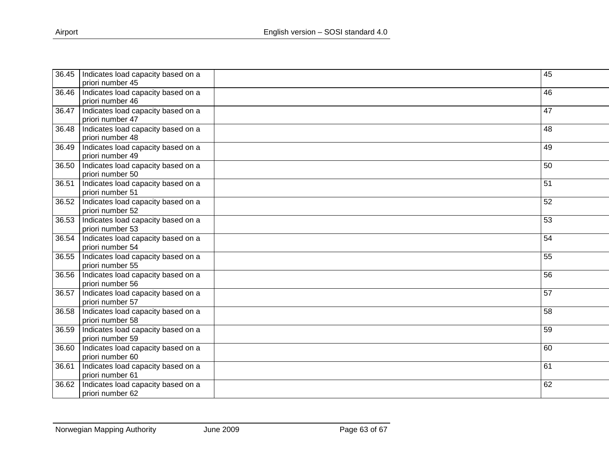| 36.45 | Indicates load capacity based on a | 45              |
|-------|------------------------------------|-----------------|
|       | priori number 45                   |                 |
| 36.46 | Indicates load capacity based on a | 46              |
|       | priori number 46                   |                 |
| 36.47 | Indicates load capacity based on a | 47              |
|       | priori number 47                   |                 |
| 36.48 | Indicates load capacity based on a | 48              |
|       | priori number 48                   |                 |
| 36.49 | Indicates load capacity based on a | 49              |
|       | priori number 49                   |                 |
| 36.50 | Indicates load capacity based on a | 50              |
|       | priori number 50                   |                 |
| 36.51 | Indicates load capacity based on a | 51              |
|       | priori number 51                   |                 |
| 36.52 | Indicates load capacity based on a | 52              |
|       | priori number 52                   |                 |
| 36.53 | Indicates load capacity based on a | 53              |
|       | priori number 53                   |                 |
| 36.54 | Indicates load capacity based on a | $\overline{54}$ |
|       | priori number 54                   |                 |
| 36.55 | Indicates load capacity based on a | 55              |
|       | priori number 55                   |                 |
| 36.56 | Indicates load capacity based on a | 56              |
|       | priori number 56                   |                 |
| 36.57 | Indicates load capacity based on a | $\overline{57}$ |
|       | priori number 57                   |                 |
| 36.58 | Indicates load capacity based on a | 58              |
|       | priori number 58                   |                 |
| 36.59 | Indicates load capacity based on a | 59              |
|       | priori number 59                   |                 |
| 36.60 | Indicates load capacity based on a | 60              |
|       | priori number 60                   |                 |
| 36.61 | Indicates load capacity based on a | 61              |
|       | priori number 61                   |                 |
| 36.62 | Indicates load capacity based on a | 62              |
|       | priori number 62                   |                 |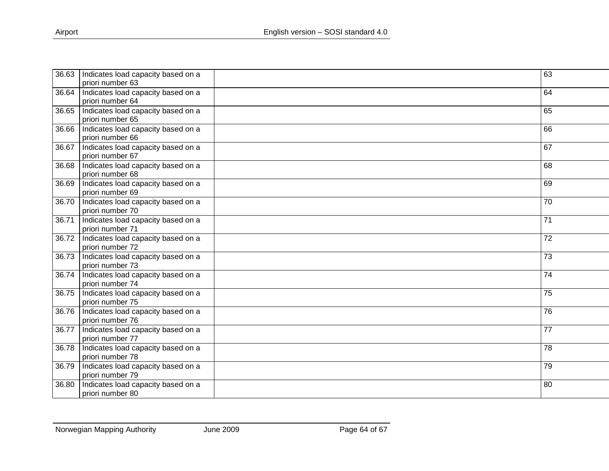| 36.63 | Indicates load capacity based on a         | 63 |
|-------|--------------------------------------------|----|
|       | priori number 63                           |    |
| 36.64 | Indicates load capacity based on a         | 64 |
|       | priori number 64                           |    |
| 36.65 | Indicates load capacity based on a         | 65 |
|       | priori number 65                           |    |
| 36.66 | Indicates load capacity based on a         | 66 |
|       | priori number 66                           |    |
| 36.67 | Indicates load capacity based on a         | 67 |
|       | priori number 67                           |    |
| 36.68 | Indicates load capacity based on a         | 68 |
|       | priori number 68                           |    |
| 36.69 | Indicates load capacity based on a         | 69 |
|       | priori number 69                           |    |
| 36.70 | Indicates load capacity based on a         | 70 |
|       | priori number 70                           |    |
| 36.71 | Indicates load capacity based on a         | 71 |
|       | priori number 71                           |    |
| 36.72 | Indicates load capacity based on a         | 72 |
|       | priori number 72                           |    |
| 36.73 | Indicates load capacity based on a         | 73 |
|       | priori number 73                           |    |
|       | 36.74   Indicates load capacity based on a | 74 |
|       | priori number 74                           |    |
| 36.75 | Indicates load capacity based on a         | 75 |
|       | priori number 75                           |    |
| 36.76 | Indicates load capacity based on a         | 76 |
|       | priori number 76                           |    |
| 36.77 | Indicates load capacity based on a         | 77 |
|       | priori number 77                           |    |
| 36.78 | Indicates load capacity based on a         | 78 |
|       | priori number 78                           |    |
| 36.79 | Indicates load capacity based on a         | 79 |
|       | priori number 79                           |    |
| 36.80 | Indicates load capacity based on a         | 80 |
|       | priori number 80                           |    |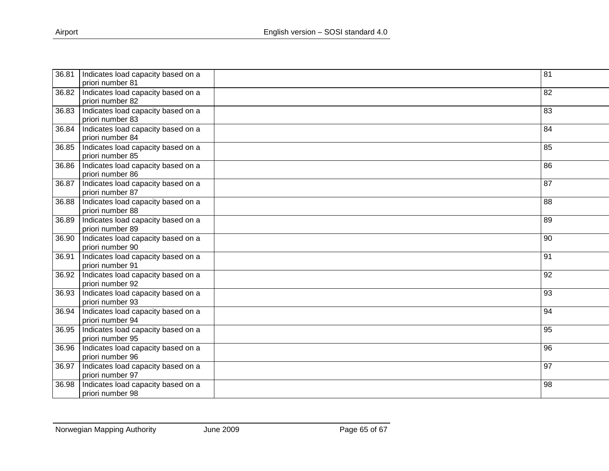| 36.81 | Indicates load capacity based on a         | 81 |
|-------|--------------------------------------------|----|
|       | priori number 81                           |    |
| 36.82 | Indicates load capacity based on a         | 82 |
|       | priori number 82                           |    |
| 36.83 | Indicates load capacity based on a         | 83 |
|       | priori number 83                           |    |
| 36.84 | Indicates load capacity based on a         | 84 |
|       | priori number 84                           |    |
| 36.85 | Indicates load capacity based on a         | 85 |
|       | priori number 85                           |    |
| 36.86 | Indicates load capacity based on a         | 86 |
|       | priori number 86                           |    |
| 36.87 | Indicates load capacity based on a         | 87 |
|       | priori number 87                           |    |
| 36.88 | Indicates load capacity based on a         | 88 |
|       | priori number 88                           |    |
| 36.89 | Indicates load capacity based on a         | 89 |
|       | priori number 89                           |    |
| 36.90 | Indicates load capacity based on a         | 90 |
|       | priori number 90                           |    |
| 36.91 | Indicates load capacity based on a         | 91 |
|       | priori number 91                           |    |
|       | 36.92   Indicates load capacity based on a | 92 |
|       | priori number 92                           |    |
| 36.93 | Indicates load capacity based on a         | 93 |
|       | priori number 93                           |    |
| 36.94 | Indicates load capacity based on a         | 94 |
|       | priori number 94                           |    |
| 36.95 | Indicates load capacity based on a         | 95 |
|       | priori number 95                           |    |
| 36.96 | Indicates load capacity based on a         | 96 |
|       | priori number 96                           |    |
| 36.97 | Indicates load capacity based on a         | 97 |
|       | priori number 97                           |    |
| 36.98 | Indicates load capacity based on a         | 98 |
|       | priori number 98                           |    |
|       |                                            |    |